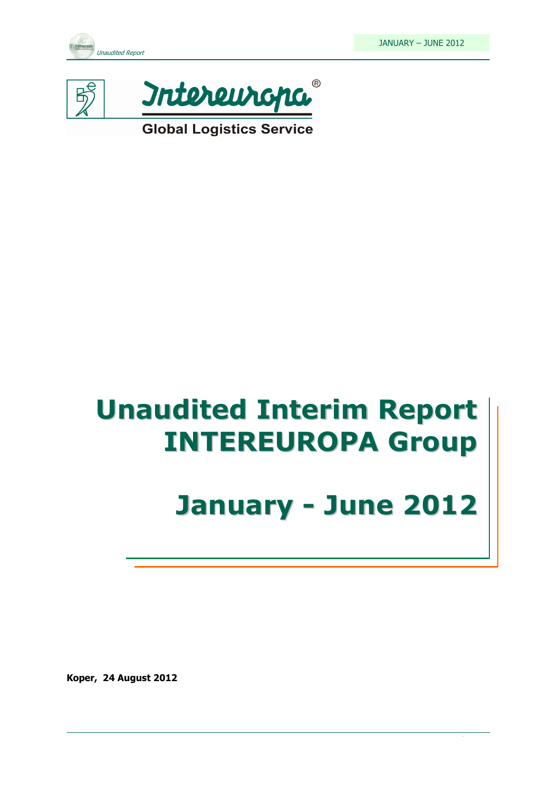



**Global Logistics Service** 

# Unaudited Interim Report INTEREUROPA Group

# January - June 2012

Koper, 24 August 2012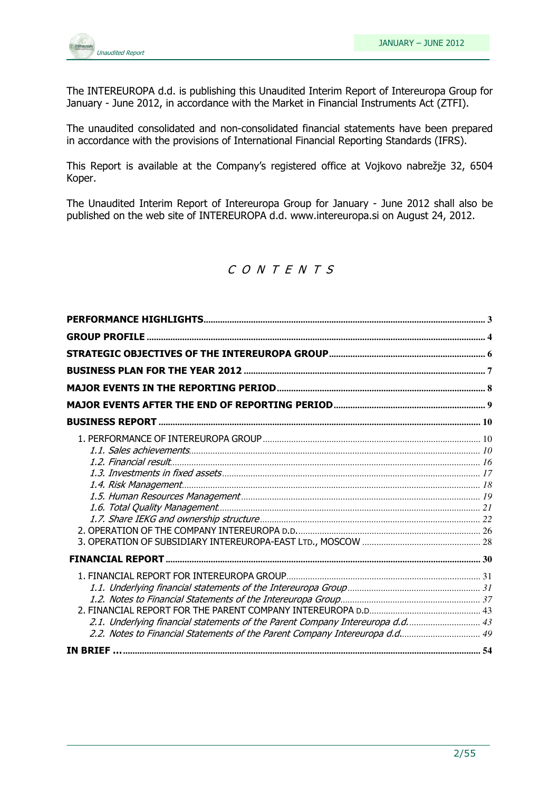

The INTEREUROPA d.d. is publishing this Unaudited Interim Report of Intereuropa Group for January - June 2012, in accordance with the Market in Financial Instruments Act (ZTFI).

The unaudited consolidated and non-consolidated financial statements have been prepared in accordance with the provisions of International Financial Reporting Standards (IFRS).

This Report is available at the Company's registered office at Vojkovo nabrežje 32, 6504 Koper.

The Unaudited Interim Report of Intereuropa Group for January - June 2012 shall also be published on the web site of INTEREUROPA d.d. www.intereuropa.si on August 24, 2012.

## C O N T E N T S

| 2.1. Underlying financial statements of the Parent Company Intereuropa d.d 43 |  |
|-------------------------------------------------------------------------------|--|
|                                                                               |  |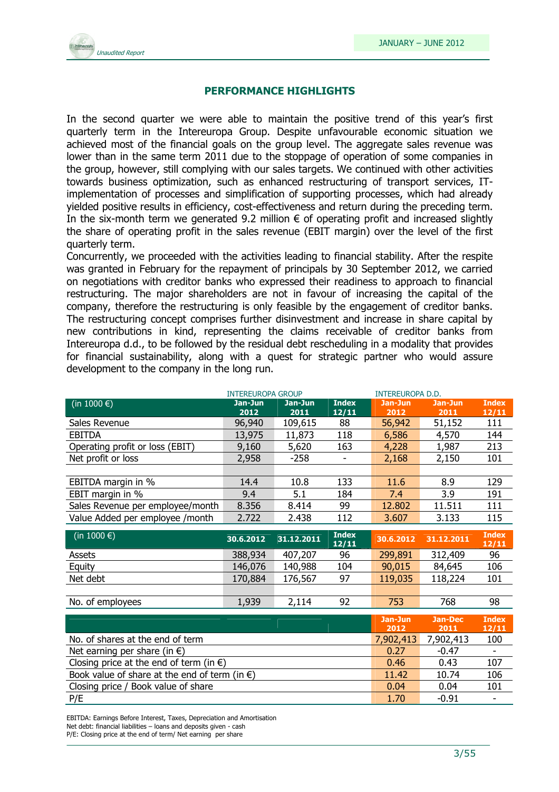

#### PERFORMANCE HIGHLIGHTS

In the second quarter we were able to maintain the positive trend of this year's first quarterly term in the Intereuropa Group. Despite unfavourable economic situation we achieved most of the financial goals on the group level. The aggregate sales revenue was lower than in the same term 2011 due to the stoppage of operation of some companies in the group, however, still complying with our sales targets. We continued with other activities towards business optimization, such as enhanced restructuring of transport services, ITimplementation of processes and simplification of supporting processes, which had already yielded positive results in efficiency, cost-effectiveness and return during the preceding term. In the six-month term we generated 9.2 million  $\epsilon$  of operating profit and increased slightly the share of operating profit in the sales revenue (EBIT margin) over the level of the first quarterly term.

Concurrently, we proceeded with the activities leading to financial stability. After the respite was granted in February for the repayment of principals by 30 September 2012, we carried on negotiations with creditor banks who expressed their readiness to approach to financial restructuring. The major shareholders are not in favour of increasing the capital of the company, therefore the restructuring is only feasible by the engagement of creditor banks. The restructuring concept comprises further disinvestment and increase in share capital by new contributions in kind, representing the claims receivable of creditor banks from Intereuropa d.d., to be followed by the residual debt rescheduling in a modality that provides for financial sustainability, along with a quest for strategic partner who would assure development to the company in the long run.

|                                                         | <b>INTEREUROPA GROUP</b> |                 |              | <b>INTEREUROPA D.D.</b> |                 |              |
|---------------------------------------------------------|--------------------------|-----------------|--------------|-------------------------|-----------------|--------------|
| (in 1000 $\epsilon$ )                                   | Jan-Jun<br>2012          | Jan-Jun<br>2011 | <b>Index</b> | Jan-Jun<br>2012         | Jan-Jun<br>2011 | <b>Index</b> |
| Sales Revenue                                           | 96,940                   | 109,615         | 12/11<br>88  | 56,942                  | 51,152          | 12/11<br>111 |
| <b>EBITDA</b>                                           | 13,975                   | 11,873          | 118          | 6,586                   | 4,570           | 144          |
| Operating profit or loss (EBIT)                         | 9,160                    | 5,620           | 163          | 4,228                   | 1,987           | 213          |
| Net profit or loss                                      | 2,958                    | $-258$          |              | 2,168                   | 2,150           | 101          |
|                                                         |                          |                 |              |                         |                 |              |
| EBITDA margin in %                                      | 14.4                     | 10.8            | 133          | 11.6                    | 8.9             | 129          |
| EBIT margin in %                                        | 9.4                      | 5.1             | 184          | 7.4                     | 3.9             | 191          |
| Sales Revenue per employee/month                        | 8.356                    | 8.414           | 99           | 12.802                  | 11.511          | 111          |
| Value Added per employee / month                        | 2.722                    | 2.438           | 112          | 3.607                   | 3.133           | 115          |
| (in 1000 €)                                             |                          |                 | <b>Index</b> |                         |                 | <b>Index</b> |
|                                                         | 30.6.2012                | 31.12.2011      | 12/11        | 30.6.2012               | 31.12.2011      | 12/11        |
| Assets                                                  | 388,934                  | 407,207         | 96           | 299,891                 | 312,409         | 96           |
| Equity                                                  | 146,076                  | 140,988         | 104          | 90,015                  | 84,645          | 106          |
| Net debt                                                | 170,884                  | 176,567         | 97           | 119,035                 | 118,224         | 101          |
|                                                         |                          |                 |              |                         |                 |              |
| No. of employees                                        | 1,939                    | 2,114           | 92           | 753                     | 768             | 98           |
|                                                         |                          |                 |              | Jan-Jun                 | <b>Jan-Dec</b>  | <b>Index</b> |
|                                                         |                          |                 |              | 2012                    | 2011            | 12/11        |
| No. of shares at the end of term                        |                          |                 |              |                         | 7,902,413       | 100          |
| Net earning per share (in $\epsilon$ )                  |                          |                 |              |                         | $-0.47$         |              |
| Closing price at the end of term (in $\epsilon$ )       |                          |                 |              |                         | 0.43            | 107          |
| Book value of share at the end of term (in $\epsilon$ ) |                          |                 |              |                         | 10.74           | 106          |
| Closing price / Book value of share                     |                          |                 |              | 0.04                    | 0.04            | 101          |
| P/E                                                     |                          |                 |              | 1.70                    | $-0.91$         |              |

EBITDA: Earnings Before Interest, Taxes, Depreciation and Amortisation Net debt: financial liabilities – loans and deposits given - cash P/E: Closing price at the end of term/ Net earning per share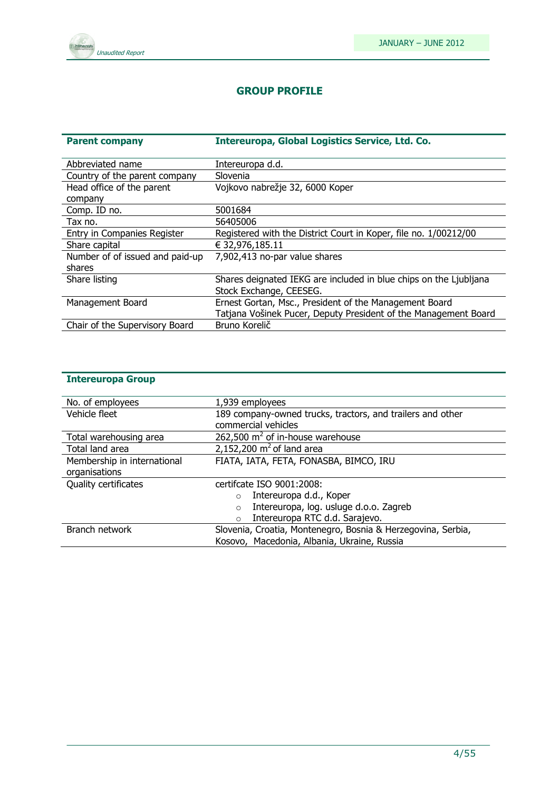

#### GROUP PROFILE

| <b>Parent company</b>           | Intereuropa, Global Logistics Service, Ltd. Co.                   |
|---------------------------------|-------------------------------------------------------------------|
|                                 |                                                                   |
| Abbreviated name                | Intereuropa d.d.                                                  |
| Country of the parent company   | Slovenia                                                          |
| Head office of the parent       | Vojkovo nabrežje 32, 6000 Koper                                   |
| company                         |                                                                   |
| Comp. ID no.                    | 5001684                                                           |
| Tax no.                         | 56405006                                                          |
| Entry in Companies Register     | Registered with the District Court in Koper, file no. 1/00212/00  |
| Share capital                   | € 32,976,185.11                                                   |
| Number of of issued and paid-up | 7,902,413 no-par value shares                                     |
| shares                          |                                                                   |
| Share listing                   | Shares deignated IEKG are included in blue chips on the Ljubljana |
|                                 | Stock Exchange, CEESEG.                                           |
| Management Board                | Ernest Gortan, Msc., President of the Management Board            |
|                                 | Tatjana Vošinek Pucer, Deputy President of the Management Board   |
| Chair of the Supervisory Board  | Bruno Korelič                                                     |

## Intereuropa Group

| No. of employees            | 1,939 employees                                              |
|-----------------------------|--------------------------------------------------------------|
| Vehicle fleet               | 189 company-owned trucks, tractors, and trailers and other   |
|                             | commercial vehicles                                          |
| Total warehousing area      | 262,500 $m^2$ of in-house warehouse                          |
| Total land area             | 2,152,200 $m2$ of land area                                  |
| Membership in international | FIATA, IATA, FETA, FONASBA, BIMCO, IRU                       |
| organisations               |                                                              |
| Quality certificates        | certifcate ISO 9001:2008:                                    |
|                             | Intereuropa d.d., Koper<br>$\circ$                           |
|                             | Intereuropa, log. usluge d.o.o. Zagreb<br>$\circ$            |
|                             | Intereuropa RTC d.d. Sarajevo.<br>$\circ$                    |
| Branch network              | Slovenia, Croatia, Montenegro, Bosnia & Herzegovina, Serbia, |
|                             | Kosovo, Macedonia, Albania, Ukraine, Russia                  |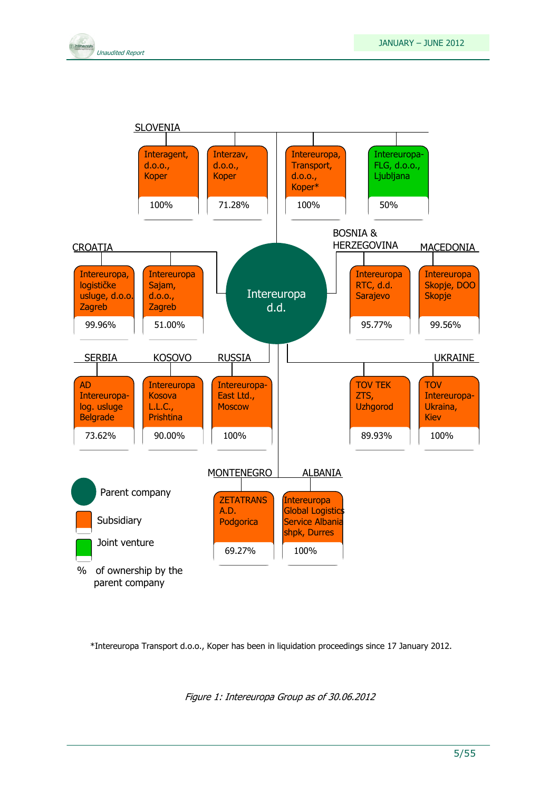



\*Intereuropa Transport d.o.o., Koper has been in liquidation proceedings since 17 January 2012.

Figure 1: Intereuropa Group as of 30.06.2012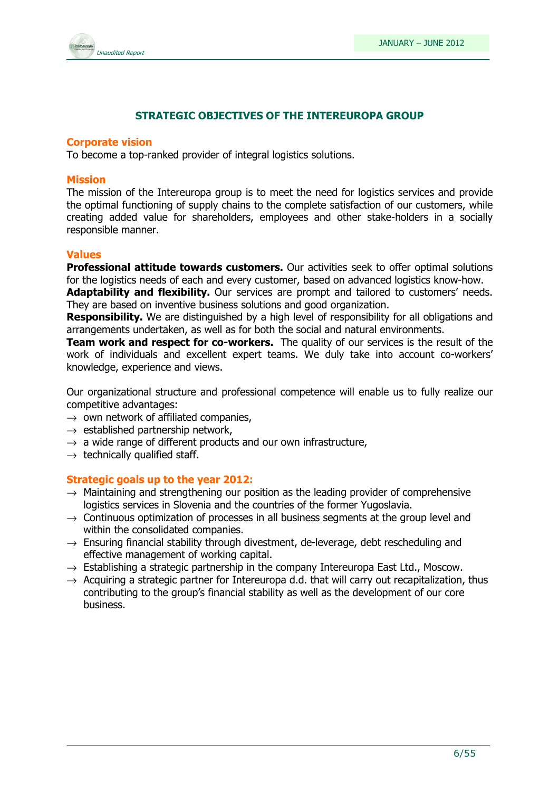

#### STRATEGIC OBJECTIVES OF THE INTEREUROPA GROUP

#### Corporate vision

To become a top-ranked provider of integral logistics solutions.

#### Mission

The mission of the Intereuropa group is to meet the need for logistics services and provide the optimal functioning of supply chains to the complete satisfaction of our customers, while creating added value for shareholders, employees and other stake-holders in a socially responsible manner.

#### Values

**Professional attitude towards customers.** Our activities seek to offer optimal solutions for the logistics needs of each and every customer, based on advanced logistics know-how.

Adaptability and flexibility. Our services are prompt and tailored to customers' needs. They are based on inventive business solutions and good organization.

**Responsibility.** We are distinguished by a high level of responsibility for all obligations and arrangements undertaken, as well as for both the social and natural environments.

**Team work and respect for co-workers.** The quality of our services is the result of the work of individuals and excellent expert teams. We duly take into account co-workers' knowledge, experience and views.

Our organizational structure and professional competence will enable us to fully realize our competitive advantages:

- $\rightarrow$  own network of affiliated companies,
- $\rightarrow$  established partnership network,
- $\rightarrow$  a wide range of different products and our own infrastructure,
- $\rightarrow$  technically qualified staff.

#### Strategic goals up to the year 2012:

- $\rightarrow$  Maintaining and strengthening our position as the leading provider of comprehensive logistics services in Slovenia and the countries of the former Yugoslavia.
- $\rightarrow$  Continuous optimization of processes in all business segments at the group level and within the consolidated companies.
- $\rightarrow$  Ensuring financial stability through divestment, de-leverage, debt rescheduling and effective management of working capital.
- $\rightarrow$  Establishing a strategic partnership in the company Intereuropa East Ltd., Moscow.
- $\rightarrow$  Acquiring a strategic partner for Intereuropa d.d. that will carry out recapitalization, thus contributing to the group's financial stability as well as the development of our core business.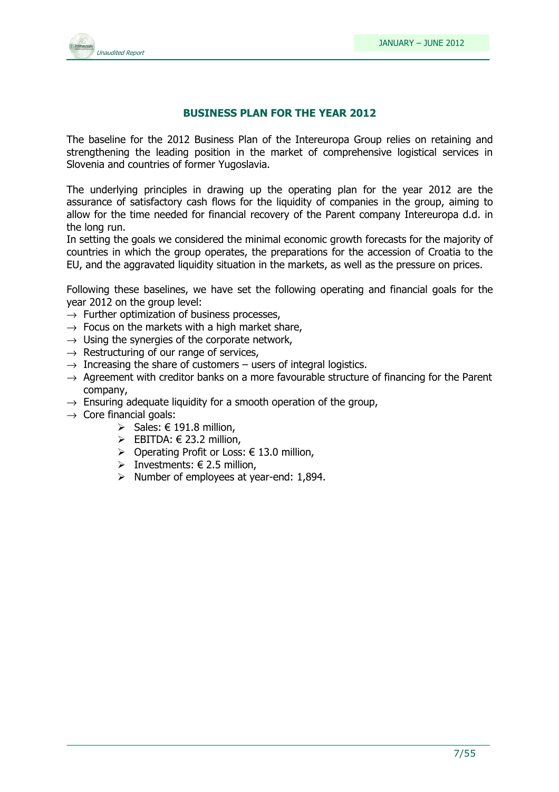

#### BUSINESS PLAN FOR THE YEAR 2012

The baseline for the 2012 Business Plan of the Intereuropa Group relies on retaining and strengthening the leading position in the market of comprehensive logistical services in Slovenia and countries of former Yugoslavia.

The underlying principles in drawing up the operating plan for the year 2012 are the assurance of satisfactory cash flows for the liquidity of companies in the group, aiming to allow for the time needed for financial recovery of the Parent company Intereuropa d.d. in the long run.

In setting the goals we considered the minimal economic growth forecasts for the majority of countries in which the group operates, the preparations for the accession of Croatia to the EU, and the aggravated liquidity situation in the markets, as well as the pressure on prices.

Following these baselines, we have set the following operating and financial goals for the year 2012 on the group level:

- $\rightarrow$  Further optimization of business processes.
- $\rightarrow$  Focus on the markets with a high market share,
- $\rightarrow$  Using the synergies of the corporate network,
- $\rightarrow$  Restructuring of our range of services,
- $\rightarrow$  Increasing the share of customers users of integral logistics.
- $\rightarrow$  Agreement with creditor banks on a more favourable structure of financing for the Parent company,
- $\rightarrow$  Ensuring adequate liquidity for a smooth operation of the group,
- $\rightarrow$  Core financial goals:
	- $\triangleright$  Sales: € 191.8 million,
	- EBITDA:  $\in$  23.2 million,
	- > Operating Profit or Loss:  $€ 13.0$  million,
	- > Investments:  $\in$  2.5 million,
	- $\triangleright$  Number of employees at year-end: 1,894.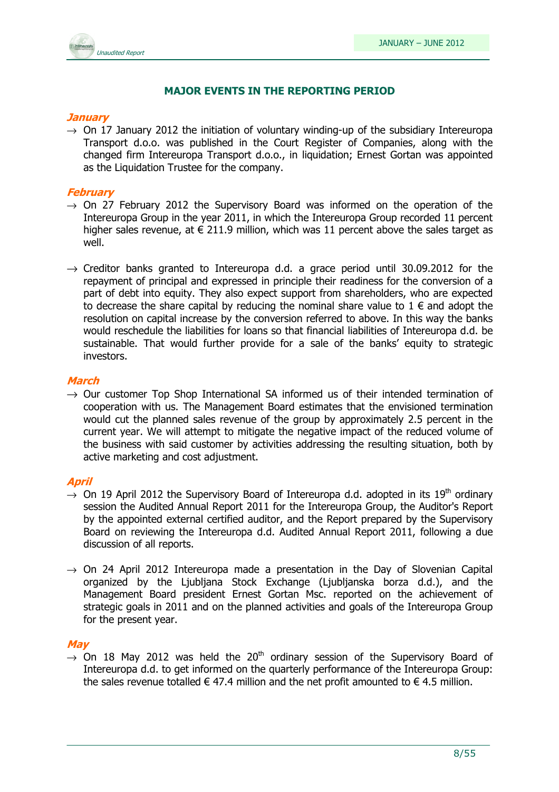

#### MAJOR EVENTS IN THE REPORTING PERIOD

#### **January**

 $\rightarrow$  On 17 January 2012 the initiation of voluntary winding-up of the subsidiary Intereuropa Transport d.o.o. was published in the Court Register of Companies, along with the changed firm Intereuropa Transport d.o.o., in liquidation; Ernest Gortan was appointed as the Liquidation Trustee for the company.

#### February

- $\rightarrow$  On 27 February 2012 the Supervisory Board was informed on the operation of the Intereuropa Group in the year 2011, in which the Intereuropa Group recorded 11 percent higher sales revenue, at  $\epsilon$  211.9 million, which was 11 percent above the sales target as well.
- $\rightarrow$  Creditor banks granted to Intereuropa d.d. a grace period until 30.09.2012 for the repayment of principal and expressed in principle their readiness for the conversion of a part of debt into equity. They also expect support from shareholders, who are expected to decrease the share capital by reducing the nominal share value to  $1 \in \mathbb{R}$  and adopt the resolution on capital increase by the conversion referred to above. In this way the banks would reschedule the liabilities for loans so that financial liabilities of Intereuropa d.d. be sustainable. That would further provide for a sale of the banks' equity to strategic investors.

#### March

 $\rightarrow$  Our customer Top Shop International SA informed us of their intended termination of cooperation with us. The Management Board estimates that the envisioned termination would cut the planned sales revenue of the group by approximately 2.5 percent in the current year. We will attempt to mitigate the negative impact of the reduced volume of the business with said customer by activities addressing the resulting situation, both by active marketing and cost adjustment.

#### April

- $\rightarrow$  On 19 April 2012 the Supervisory Board of Intereuropa d.d. adopted in its 19<sup>th</sup> ordinary session the Audited Annual Report 2011 for the Intereuropa Group, the Auditor's Report by the appointed external certified auditor, and the Report prepared by the Supervisory Board on reviewing the Intereuropa d.d. Audited Annual Report 2011, following a due discussion of all reports.
- $\rightarrow$  On 24 April 2012 Intereuropa made a presentation in the Day of Slovenian Capital organized by the Ljubljana Stock Exchange (Ljubljanska borza d.d.), and the Management Board president Ernest Gortan Msc. reported on the achievement of strategic goals in 2011 and on the planned activities and goals of the Intereuropa Group for the present year.

#### **May**

 $\rightarrow$  On 18 May 2012 was held the 20<sup>th</sup> ordinary session of the Supervisory Board of Intereuropa d.d. to get informed on the quarterly performance of the Intereuropa Group: the sales revenue totalled  $\epsilon$  47.4 million and the net profit amounted to  $\epsilon$  4.5 million.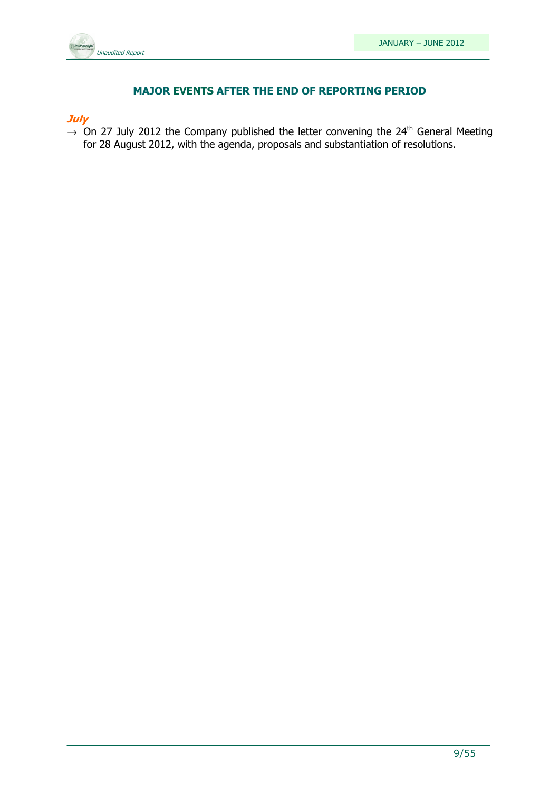

#### MAJOR EVENTS AFTER THE END OF REPORTING PERIOD

**July** 

 $\rightarrow$  On 27 July 2012 the Company published the letter convening the 24<sup>th</sup> General Meeting for 28 August 2012, with the agenda, proposals and substantiation of resolutions.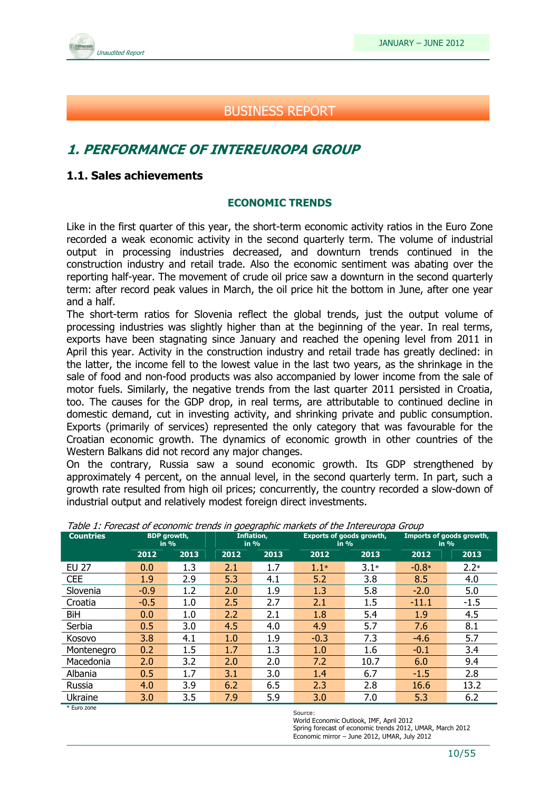

## BUSINESS REPORT

## 1. PERFORMANCE OF INTEREUROPA GROUP

#### 1.1. Sales achievements

#### ECONOMIC TRENDS

Like in the first quarter of this year, the short-term economic activity ratios in the Euro Zone recorded a weak economic activity in the second quarterly term. The volume of industrial output in processing industries decreased, and downturn trends continued in the construction industry and retail trade. Also the economic sentiment was abating over the reporting half-year. The movement of crude oil price saw a downturn in the second quarterly term: after record peak values in March, the oil price hit the bottom in June, after one year and a half.

The short-term ratios for Slovenia reflect the global trends, just the output volume of processing industries was slightly higher than at the beginning of the year. In real terms, exports have been stagnating since January and reached the opening level from 2011 in April this year. Activity in the construction industry and retail trade has greatly declined: in the latter, the income fell to the lowest value in the last two years, as the shrinkage in the sale of food and non-food products was also accompanied by lower income from the sale of motor fuels. Similarly, the negative trends from the last quarter 2011 persisted in Croatia, too. The causes for the GDP drop, in real terms, are attributable to continued decline in domestic demand, cut in investing activity, and shrinking private and public consumption. Exports (primarily of services) represented the only category that was favourable for the Croatian economic growth. The dynamics of economic growth in other countries of the Western Balkans did not record any major changes.

On the contrary, Russia saw a sound economic growth. Its GDP strengthened by approximately 4 percent, on the annual level, in the second quarterly term. In part, such a growth rate resulted from high oil prices; concurrently, the country recorded a slow-down of industrial output and relatively modest foreign direct investments.

| <b>Countries</b> |        | <b>BDP</b> growth,<br>in $%$ |      | Inflation,<br>in % |        | <b>Exports of goods growth,</b><br>in $%$ |         | Imports of goods growth,<br>in % |  |
|------------------|--------|------------------------------|------|--------------------|--------|-------------------------------------------|---------|----------------------------------|--|
|                  | 2012   | 2013                         | 2012 | 2013               | 2012   | 2013                                      | 2012    | 2013                             |  |
| <b>EU 27</b>     | 0.0    | 1.3                          | 2.1  | 1.7                | $1.1*$ | $3.1*$                                    | $-0.8*$ | $2.2*$                           |  |
| <b>CEE</b>       | 1.9    | 2.9                          | 5.3  | 4.1                | 5.2    | 3.8                                       | 8.5     | 4.0                              |  |
| Slovenia         | $-0.9$ | 1.2                          | 2.0  | 1.9                | 1.3    | 5.8                                       | $-2.0$  | 5.0                              |  |
| Croatia          | $-0.5$ | 1.0                          | 2.5  | 2.7                | 2.1    | 1.5                                       | $-11.1$ | $-1.5$                           |  |
| BiH              | 0.0    | 1.0                          | 2.2  | 2.1                | 1.8    | 5.4                                       | 1.9     | 4.5                              |  |
| Serbia           | 0.5    | 3.0                          | 4.5  | 4.0                | 4.9    | 5.7                                       | 7.6     | 8.1                              |  |
| Kosovo           | 3.8    | 4.1                          | 1.0  | 1.9                | $-0.3$ | 7.3                                       | $-4.6$  | 5.7                              |  |
| Montenegro       | 0.2    | 1.5                          | 1.7  | 1.3                | 1.0    | 1.6                                       | $-0.1$  | 3.4                              |  |
| Macedonia        | 2.0    | 3.2                          | 2.0  | 2.0                | 7.2    | 10.7                                      | 6.0     | 9.4                              |  |
| Albania          | 0.5    | 1.7                          | 3.1  | 3.0                | 1.4    | 6.7                                       | $-1.5$  | 2.8                              |  |
| Russia           | 4.0    | 3.9                          | 6.2  | 6.5                | 2.3    | 2.8                                       | 16.6    | 13.2                             |  |
| Ukraine          | 3.0    | 3.5                          | 7.9  | 5.9                | 3.0    | 7.0                                       | 5.3     | 6.2                              |  |

Table 1: Forecast of economic trends in goegraphic markets of the Intereuropa Group

\* Euro zone

Source:

World Economic Outlook, IMF, April 2012 Spring forecast of economic trends 2012, UMAR, March 2012 Economic mirror – June 2012, UMAR, July 2012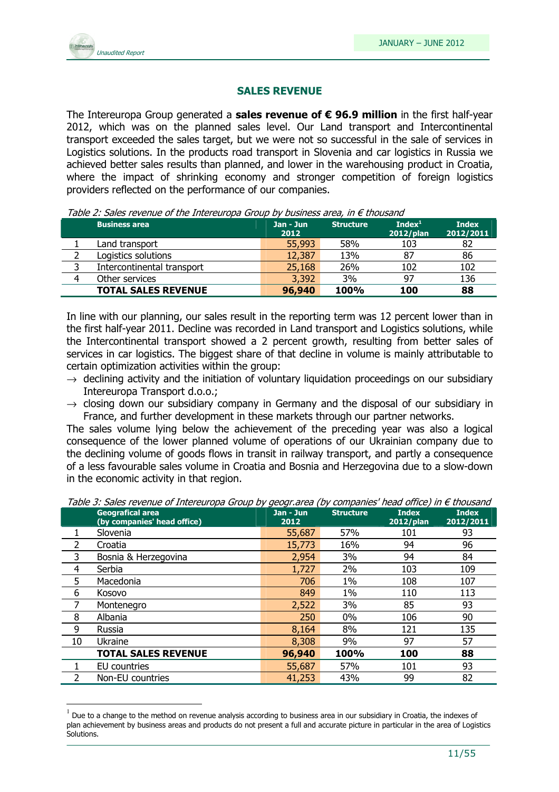

l.

#### SALES REVENUE

The Intereuropa Group generated a sales revenue of  $\epsilon$  96.9 million in the first half-year 2012, which was on the planned sales level. Our Land transport and Intercontinental transport exceeded the sales target, but we were not so successful in the sale of services in Logistics solutions. In the products road transport in Slovenia and car logistics in Russia we achieved better sales results than planned, and lower in the warehousing product in Croatia, where the impact of shrinking economy and stronger competition of foreign logistics providers reflected on the performance of our companies.

Table 2: Sales revenue of the Intereuropa Group by business area, in  $\epsilon$  thousand

|   | <b>Business area</b>       | Jan - Jun<br>2012 | <b>Structure</b> | Index <sup>1</sup><br>2012/plan | <b>Index</b><br>2012/2011 |  |
|---|----------------------------|-------------------|------------------|---------------------------------|---------------------------|--|
|   | Land transport             | 55,993            | 58%              | 103                             | 82                        |  |
|   | Logistics solutions        | 12,387            | 13%              | 87                              | 86                        |  |
|   | Intercontinental transport | 25,168            | 26%              | 102                             | 102                       |  |
| 4 | Other services             | 3,392             | 3%               | 97                              | 136                       |  |
|   | <b>TOTAL SALES REVENUE</b> | 96,940            | <b>100%</b>      | 100                             | 88                        |  |

In line with our planning, our sales result in the reporting term was 12 percent lower than in the first half-year 2011. Decline was recorded in Land transport and Logistics solutions, while the Intercontinental transport showed a 2 percent growth, resulting from better sales of services in car logistics. The biggest share of that decline in volume is mainly attributable to certain optimization activities within the group:

- $\rightarrow$  declining activity and the initiation of voluntary liguidation proceedings on our subsidiary Intereuropa Transport d.o.o.;
- $\rightarrow$  closing down our subsidiary company in Germany and the disposal of our subsidiary in France, and further development in these markets through our partner networks.

The sales volume lying below the achievement of the preceding year was also a logical consequence of the lower planned volume of operations of our Ukrainian company due to the declining volume of goods flows in transit in railway transport, and partly a consequence of a less favourable sales volume in Croatia and Bosnia and Herzegovina due to a slow-down in the economic activity in that region.

|    | <b>Geografical area</b><br>(by companies' head office) | Jan - Jun<br>2012 | <b>Structure</b> | <b>Index</b><br>2012/plan | <b>Index</b><br>2012/2011 |
|----|--------------------------------------------------------|-------------------|------------------|---------------------------|---------------------------|
|    | Slovenia                                               | 55,687            | 57%              | 101                       | 93                        |
| 2  | Croatia                                                | 15,773            | 16%              | 94                        | 96                        |
| 3  | Bosnia & Herzegovina                                   | 2,954             | 3%               | 94                        | 84                        |
| 4  | Serbia                                                 | 1,727             | 2%               | 103                       | 109                       |
| 5  | Macedonia                                              | 706               | 1%               | 108                       | 107                       |
| 6  | Kosovo                                                 | 849               | 1%               | 110                       | 113                       |
|    | Montenegro                                             | 2,522             | 3%               | 85                        | 93                        |
| 8  | Albania                                                | 250               | $0\%$            | 106                       | 90                        |
| 9  | Russia                                                 | 8,164             | 8%               | 121                       | 135                       |
| 10 | Ukraine                                                | 8,308             | 9%               | 97                        | 57                        |
|    | <b>TOTAL SALES REVENUE</b>                             | 96,940            | 100%             | 100                       | 88                        |
|    | EU countries                                           | 55,687            | 57%              | 101                       | 93                        |
|    | Non-EU countries                                       | 41,253            | 43%              | 99                        | 82                        |

Table 3: Sales revenue of Intereuropa Group by geogr.area (by companies' head office) in € thousand

 $^1$  Due to a change to the method on revenue analysis according to business area in our subsidiary in Croatia, the indexes of plan achievement by business areas and products do not present a full and accurate picture in particular in the area of Logistics Solutions.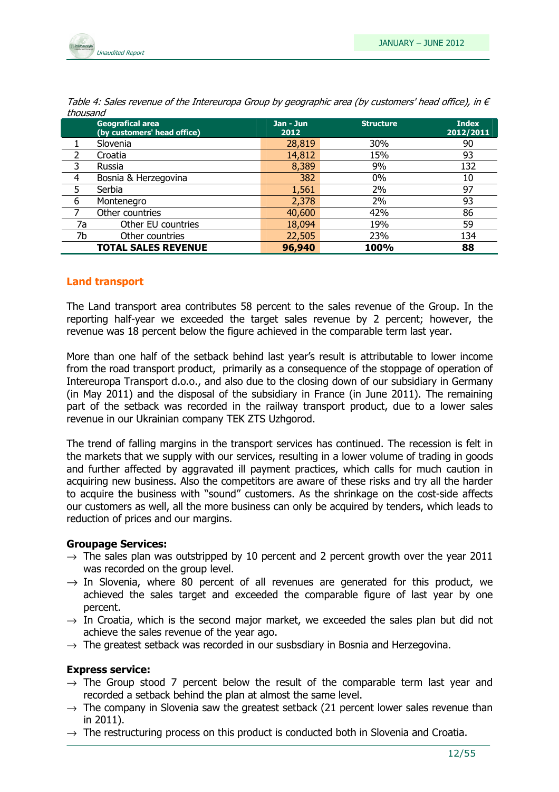

|    | <b>Geografical area</b><br>(by customers' head office) | Jan - Jun<br>2012 | <b>Structure</b> | <b>Index</b><br>2012/2011 |
|----|--------------------------------------------------------|-------------------|------------------|---------------------------|
|    | Slovenia                                               | 28,819            | 30%              | 90                        |
|    | Croatia                                                | 14,812            | 15%              | 93                        |
| 3  | Russia                                                 | 8,389             | 9%               | 132                       |
| 4  | Bosnia & Herzegovina                                   | 382               | 0%               | 10                        |
| 5  | Serbia                                                 | 1,561             | 2%               | 97                        |
| 6  | Montenegro                                             | 2,378             | 2%               | 93                        |
|    | Other countries                                        | 40,600            | 42%              | 86                        |
| 7a | Other EU countries                                     | 18,094            | 19%              | 59                        |
| 7b | Other countries                                        | 22,505            | 23%              | 134                       |
|    | <b>TOTAL SALES REVENUE</b>                             | 96,940            | 100%             | 88                        |

Table 4: Sales revenue of the Intereuropa Group by geographic area (by customers' head office), in  $\epsilon$ thousand

#### Land transport

The Land transport area contributes 58 percent to the sales revenue of the Group. In the reporting half-year we exceeded the target sales revenue by 2 percent; however, the revenue was 18 percent below the figure achieved in the comparable term last year.

More than one half of the setback behind last year's result is attributable to lower income from the road transport product, primarily as a consequence of the stoppage of operation of Intereuropa Transport d.o.o., and also due to the closing down of our subsidiary in Germany (in May 2011) and the disposal of the subsidiary in France (in June 2011). The remaining part of the setback was recorded in the railway transport product, due to a lower sales revenue in our Ukrainian company TEK ZTS Uzhgorod.

The trend of falling margins in the transport services has continued. The recession is felt in the markets that we supply with our services, resulting in a lower volume of trading in goods and further affected by aggravated ill payment practices, which calls for much caution in acquiring new business. Also the competitors are aware of these risks and try all the harder to acquire the business with "sound" customers. As the shrinkage on the cost-side affects our customers as well, all the more business can only be acquired by tenders, which leads to reduction of prices and our margins.

#### Groupage Services:

- $\rightarrow$  The sales plan was outstripped by 10 percent and 2 percent growth over the year 2011 was recorded on the group level.
- $\rightarrow$  In Slovenia, where 80 percent of all revenues are generated for this product, we achieved the sales target and exceeded the comparable figure of last year by one percent.
- $\rightarrow$  In Croatia, which is the second major market, we exceeded the sales plan but did not achieve the sales revenue of the year ago.
- $\rightarrow$  The greatest setback was recorded in our susbsdiary in Bosnia and Herzegovina.

#### Express service:

- $\rightarrow$  The Group stood 7 percent below the result of the comparable term last year and recorded a setback behind the plan at almost the same level.
- $\rightarrow$  The company in Slovenia saw the greatest setback (21 percent lower sales revenue than in 2011).
- $\rightarrow$  The restructuring process on this product is conducted both in Slovenia and Croatia.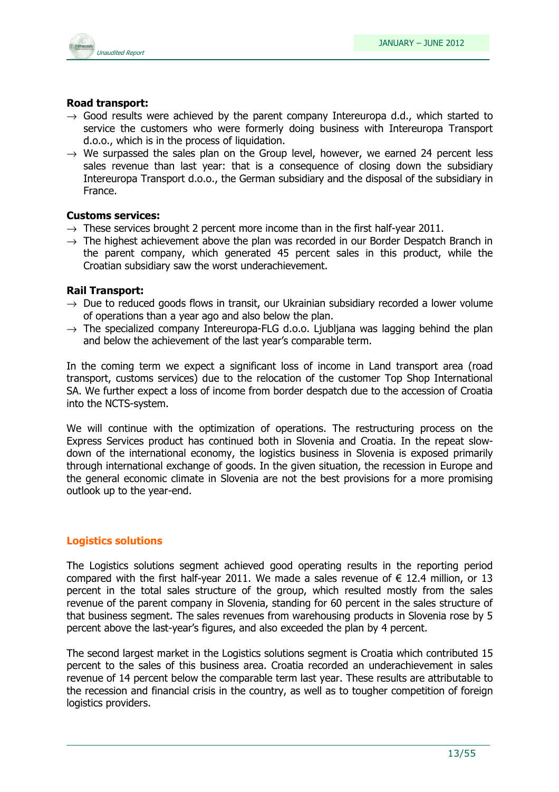

#### Road transport:

- $\rightarrow$  Good results were achieved by the parent company Intereuropa d.d., which started to service the customers who were formerly doing business with Intereuropa Transport d.o.o., which is in the process of liquidation.
- $\rightarrow$  We surpassed the sales plan on the Group level, however, we earned 24 percent less sales revenue than last year: that is a consequence of closing down the subsidiary Intereuropa Transport d.o.o., the German subsidiary and the disposal of the subsidiary in France.

#### Customs services:

- $\rightarrow$  These services brought 2 percent more income than in the first half-year 2011.
- $\rightarrow$  The highest achievement above the plan was recorded in our Border Despatch Branch in the parent company, which generated 45 percent sales in this product, while the Croatian subsidiary saw the worst underachievement.

#### Rail Transport:

- $\rightarrow$  Due to reduced goods flows in transit, our Ukrainian subsidiary recorded a lower volume of operations than a year ago and also below the plan.
- $\rightarrow$  The specialized company Intereuropa-FLG d.o.o. Ljubljana was lagging behind the plan and below the achievement of the last year's comparable term.

In the coming term we expect a significant loss of income in Land transport area (road transport, customs services) due to the relocation of the customer Top Shop International SA. We further expect a loss of income from border despatch due to the accession of Croatia into the NCTS-system.

We will continue with the optimization of operations. The restructuring process on the Express Services product has continued both in Slovenia and Croatia. In the repeat slowdown of the international economy, the logistics business in Slovenia is exposed primarily through international exchange of goods. In the given situation, the recession in Europe and the general economic climate in Slovenia are not the best provisions for a more promising outlook up to the year-end.

#### Logistics solutions

The Logistics solutions segment achieved good operating results in the reporting period compared with the first half-year 2011. We made a sales revenue of  $\epsilon$  12.4 million, or 13 percent in the total sales structure of the group, which resulted mostly from the sales revenue of the parent company in Slovenia, standing for 60 percent in the sales structure of that business segment. The sales revenues from warehousing products in Slovenia rose by 5 percent above the last-year's figures, and also exceeded the plan by 4 percent.

The second largest market in the Logistics solutions segment is Croatia which contributed 15 percent to the sales of this business area. Croatia recorded an underachievement in sales revenue of 14 percent below the comparable term last year. These results are attributable to the recession and financial crisis in the country, as well as to tougher competition of foreign logistics providers.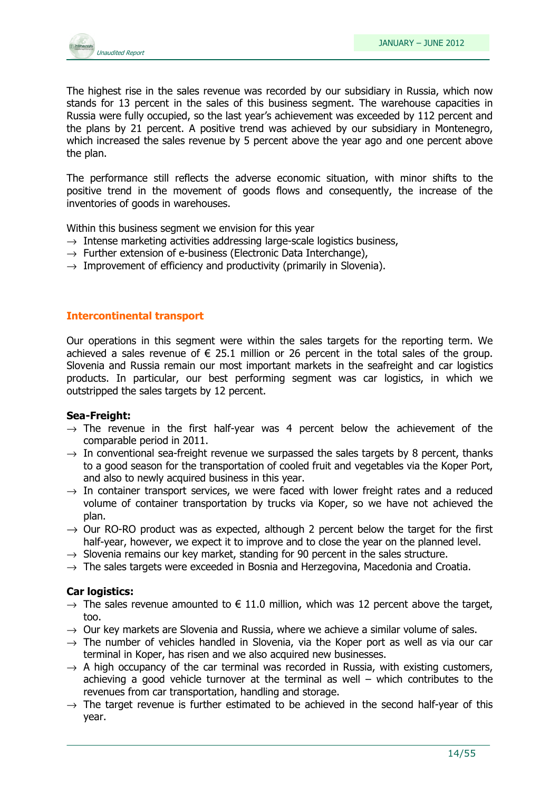

The highest rise in the sales revenue was recorded by our subsidiary in Russia, which now stands for 13 percent in the sales of this business segment. The warehouse capacities in Russia were fully occupied, so the last year's achievement was exceeded by 112 percent and the plans by 21 percent. A positive trend was achieved by our subsidiary in Montenegro, which increased the sales revenue by 5 percent above the year ago and one percent above the plan.

The performance still reflects the adverse economic situation, with minor shifts to the positive trend in the movement of goods flows and consequently, the increase of the inventories of goods in warehouses.

Within this business segment we envision for this year

- $\rightarrow$  Intense marketing activities addressing large-scale logistics business,
- $\rightarrow$  Further extension of e-business (Electronic Data Interchange),
- $\rightarrow$  Improvement of efficiency and productivity (primarily in Slovenia).

#### Intercontinental transport

Our operations in this segment were within the sales targets for the reporting term. We achieved a sales revenue of  $\epsilon$  25.1 million or 26 percent in the total sales of the group. Slovenia and Russia remain our most important markets in the seafreight and car logistics products. In particular, our best performing segment was car logistics, in which we outstripped the sales targets by 12 percent.

#### Sea-Freight:

- $\rightarrow$  The revenue in the first half-year was 4 percent below the achievement of the comparable period in 2011.
- $\rightarrow$  In conventional sea-freight revenue we surpassed the sales targets by 8 percent, thanks to a good season for the transportation of cooled fruit and vegetables via the Koper Port, and also to newly acquired business in this year.
- $\rightarrow$  In container transport services, we were faced with lower freight rates and a reduced volume of container transportation by trucks via Koper, so we have not achieved the plan.
- $\rightarrow$  Our RO-RO product was as expected, although 2 percent below the target for the first half-year, however, we expect it to improve and to close the year on the planned level.
- $\rightarrow$  Slovenia remains our key market, standing for 90 percent in the sales structure.
- $\rightarrow$  The sales targets were exceeded in Bosnia and Herzegovina, Macedonia and Croatia.

#### Car logistics:

- $\rightarrow$  The sales revenue amounted to  $\in$  11.0 million, which was 12 percent above the target, too.
- $\rightarrow$  Our key markets are Slovenia and Russia, where we achieve a similar volume of sales.
- $\rightarrow$  The number of vehicles handled in Slovenia, via the Koper port as well as via our car terminal in Koper, has risen and we also acquired new businesses.
- $\rightarrow$  A high occupancy of the car terminal was recorded in Russia, with existing customers, achieving a good vehicle turnover at the terminal as well – which contributes to the revenues from car transportation, handling and storage.
- $\rightarrow$  The target revenue is further estimated to be achieved in the second half-year of this year.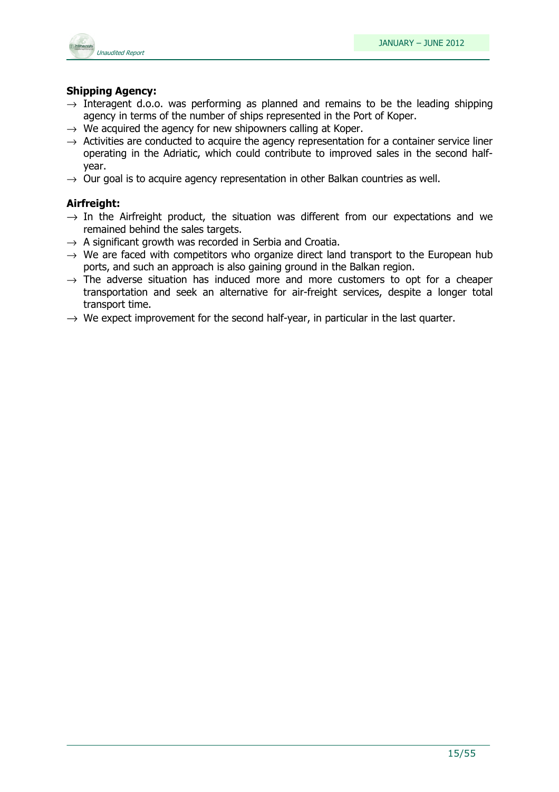

#### Shipping Agency:

- $\rightarrow$  Interagent d.o.o. was performing as planned and remains to be the leading shipping agency in terms of the number of ships represented in the Port of Koper.
- $\rightarrow$  We acquired the agency for new shipowners calling at Koper.
- $\rightarrow$  Activities are conducted to acquire the agency representation for a container service liner operating in the Adriatic, which could contribute to improved sales in the second halfyear.
- $\rightarrow$  Our goal is to acquire agency representation in other Balkan countries as well.

#### Airfreight:

- $\rightarrow$  In the Airfreight product, the situation was different from our expectations and we remained behind the sales targets.
- $\rightarrow$  A significant growth was recorded in Serbia and Croatia.
- $\rightarrow$  We are faced with competitors who organize direct land transport to the European hub ports, and such an approach is also gaining ground in the Balkan region.
- $\rightarrow$  The adverse situation has induced more and more customers to opt for a cheaper transportation and seek an alternative for air-freight services, despite a longer total transport time.
- $\rightarrow$  We expect improvement for the second half-year, in particular in the last quarter.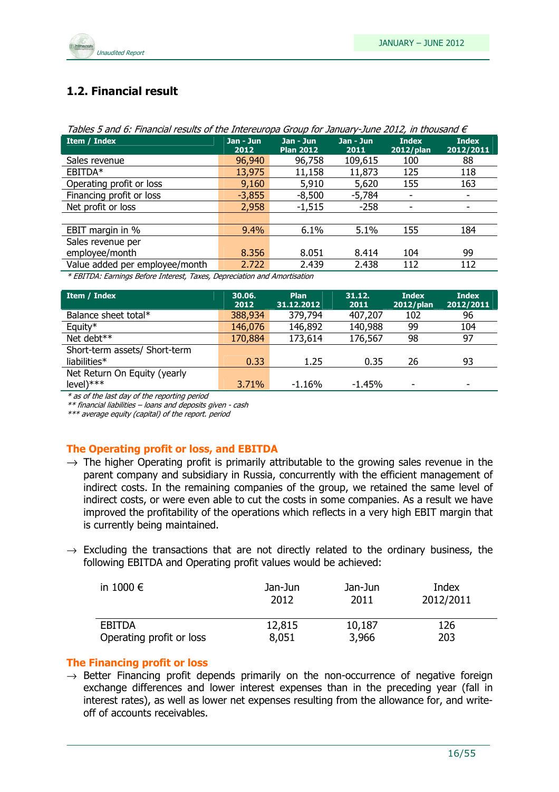

## 1.2. Financial result

| rapics 5 and 01 midnesdi results or the Interest operators samally same 2012, in thousand c |                   |                               |                   |                              |                           |  |
|---------------------------------------------------------------------------------------------|-------------------|-------------------------------|-------------------|------------------------------|---------------------------|--|
| <b>Item / Index</b>                                                                         | Jan - Jun<br>2012 | Jan - Jun<br><b>Plan 2012</b> | Jan - Jun<br>2011 | <b>Index</b><br>$2012$ /plan | <b>Index</b><br>2012/2011 |  |
| Sales revenue                                                                               | 96,940            | 96,758                        | 109,615           | 100                          | 88                        |  |
| EBITDA*                                                                                     | 13,975            | 11,158                        | 11,873            | 125                          | 118                       |  |
| Operating profit or loss                                                                    | 9,160             | 5,910                         | 5,620             | 155                          | 163                       |  |
| Financing profit or loss                                                                    | $-3,855$          | $-8,500$                      | -5,784            |                              | ٠                         |  |
| Net profit or loss                                                                          | 2,958             | $-1,515$                      | $-258$            |                              | ٠                         |  |
|                                                                                             |                   |                               |                   |                              |                           |  |
| EBIT margin in %                                                                            | 9.4%              | 6.1%                          | 5.1%              | 155                          | 184                       |  |
| Sales revenue per                                                                           |                   |                               |                   |                              |                           |  |
| employee/month                                                                              | 8.356             | 8.051                         | 8.414             | 104                          | 99                        |  |
| Value added per employee/month                                                              | 2.722             | 2.439                         | 2.438             | 112                          | 112                       |  |
|                                                                                             | $\star$ $\tau$    |                               |                   |                              |                           |  |

|  | Tables 5 and 6: Financial results of the Intereuropa Group for January-June 2012, in thousand $\epsilon$ |
|--|----------------------------------------------------------------------------------------------------------|

\* EBITDA: Earnings Before Interest, Taxes, Depreciation and Amortisation

| Item / Index                  | 30.06.<br>2012 | <b>Plan</b><br>31.12.2012 | 31.12.<br>2011 | <b>Index</b><br>2012/plan | <b>Index</b><br>2012/2011 |
|-------------------------------|----------------|---------------------------|----------------|---------------------------|---------------------------|
| Balance sheet total*          | 388,934        | 379,794                   | 407,207        | 102                       | 96                        |
| Equity*                       | 146,076        | 146,892                   | 140,988        | 99                        | 104                       |
| Net debt**                    | 170,884        | 173,614                   | 176,567        | 98                        | 97                        |
| Short-term assets/ Short-term |                |                           |                |                           |                           |
| liabilities*                  | 0.33           | 1.25                      | 0.35           | 26                        | 93                        |
| Net Return On Equity (yearly  |                |                           |                |                           |                           |
| $level)****$                  | 3.71%          | $-1.16%$                  | $-1.45%$       |                           | $\overline{\phantom{0}}$  |

\* as of the last day of the reporting period

\*\* financial liabilities – loans and deposits given - cash

\*\*\* average equity (capital) of the report. period

#### The Operating profit or loss, and EBITDA

- $\rightarrow$  The higher Operating profit is primarily attributable to the growing sales revenue in the parent company and subsidiary in Russia, concurrently with the efficient management of indirect costs. In the remaining companies of the group, we retained the same level of indirect costs, or were even able to cut the costs in some companies. As a result we have improved the profitability of the operations which reflects in a very high EBIT margin that is currently being maintained.
- $\rightarrow$  Excluding the transactions that are not directly related to the ordinary business, the following EBITDA and Operating profit values would be achieved:

| in 1000 $\epsilon$       | Jan-Jun | Jan-Jun | Index     |
|--------------------------|---------|---------|-----------|
|                          | 2012    | 2011    | 2012/2011 |
| EBITDA                   | 12,815  | 10,187  | 126       |
| Operating profit or loss | 8,051   | 3,966   | 203       |

#### The Financing profit or loss

 $\rightarrow$  Better Financing profit depends primarily on the non-occurrence of negative foreign exchange differences and lower interest expenses than in the preceding year (fall in interest rates), as well as lower net expenses resulting from the allowance for, and writeoff of accounts receivables.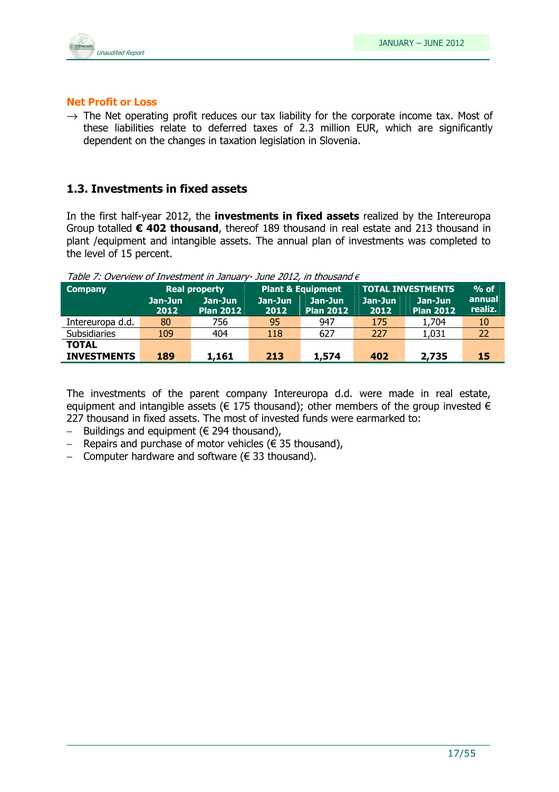

#### Net Profit or Loss

 $\rightarrow$  The Net operating profit reduces our tax liability for the corporate income tax. Most of these liabilities relate to deferred taxes of 2.3 million EUR, which are significantly dependent on the changes in taxation legislation in Slovenia.

#### 1.3. Investments in fixed assets

In the first half-year 2012, the **investments in fixed assets** realized by the Intereuropa Group totalled  $\epsilon$  402 thousand, thereof 189 thousand in real estate and 213 thousand in plant /equipment and intangible assets. The annual plan of investments was completed to the level of 15 percent.

| <b>Company</b>     |                 | <b>Real property</b>        | <b>Plant &amp; Equipment</b> |                             | <b>TOTAL INVESTMENTS</b> | $%$ of                      |                   |
|--------------------|-----------------|-----------------------------|------------------------------|-----------------------------|--------------------------|-----------------------------|-------------------|
|                    | Jan-Jun<br>2012 | Jan-Jun<br><b>Plan 2012</b> | Jan-Jun<br>2012              | Jan-Jun<br><b>Plan 2012</b> | Jan-Jun<br>2012          | Jan-Jun<br><b>Plan 2012</b> | annual<br>realiz. |
| Intereuropa d.d.   | 80              | 756                         | 95                           | 947                         | 175                      | 1,704                       | 10                |
| Subsidiaries       | 109             | 404                         | 118                          | 627                         | 227                      | 1,031                       | 22                |
| <b>TOTAL</b>       |                 |                             |                              |                             |                          |                             |                   |
| <b>INVESTMENTS</b> | 189             | 1,161                       | 213                          | 1,574                       | 402                      | 2,735                       | 15                |

Table 7: Overview of Investment in January- June 2012, in thousand  $\epsilon$ 

The investments of the parent company Intereuropa d.d. were made in real estate, equipment and intangible assets ( $\epsilon$  175 thousand); other members of the group invested  $\epsilon$ 227 thousand in fixed assets. The most of invested funds were earmarked to:

- Buildings and equipment (€ 294 thousand),
- Repairs and purchase of motor vehicles (€ 35 thousand),
- − Computer hardware and software (€ 33 thousand).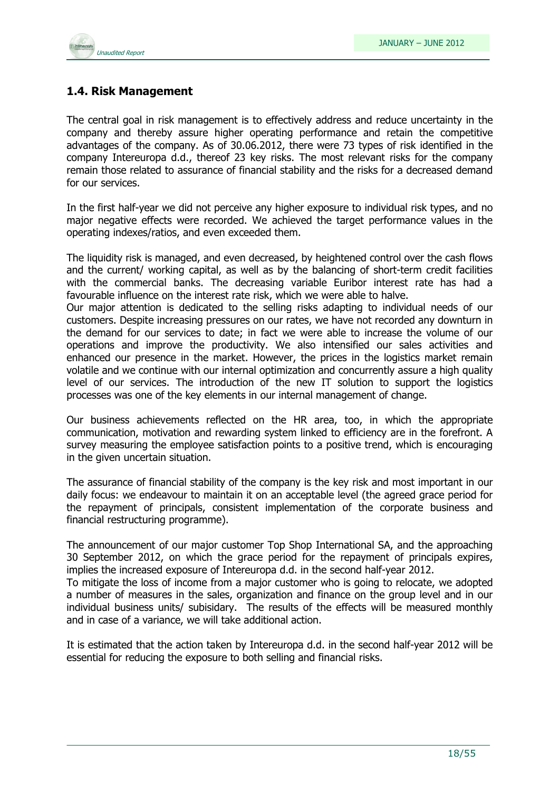

## 1.4. Risk Management

The central goal in risk management is to effectively address and reduce uncertainty in the company and thereby assure higher operating performance and retain the competitive advantages of the company. As of 30.06.2012, there were 73 types of risk identified in the company Intereuropa d.d., thereof 23 key risks. The most relevant risks for the company remain those related to assurance of financial stability and the risks for a decreased demand for our services.

In the first half-year we did not perceive any higher exposure to individual risk types, and no major negative effects were recorded. We achieved the target performance values in the operating indexes/ratios, and even exceeded them.

The liquidity risk is managed, and even decreased, by heightened control over the cash flows and the current/ working capital, as well as by the balancing of short-term credit facilities with the commercial banks. The decreasing variable Euribor interest rate has had a favourable influence on the interest rate risk, which we were able to halve.

Our major attention is dedicated to the selling risks adapting to individual needs of our customers. Despite increasing pressures on our rates, we have not recorded any downturn in the demand for our services to date; in fact we were able to increase the volume of our operations and improve the productivity. We also intensified our sales activities and enhanced our presence in the market. However, the prices in the logistics market remain volatile and we continue with our internal optimization and concurrently assure a high quality level of our services. The introduction of the new IT solution to support the logistics processes was one of the key elements in our internal management of change.

Our business achievements reflected on the HR area, too, in which the appropriate communication, motivation and rewarding system linked to efficiency are in the forefront. A survey measuring the employee satisfaction points to a positive trend, which is encouraging in the given uncertain situation.

The assurance of financial stability of the company is the key risk and most important in our daily focus: we endeavour to maintain it on an acceptable level (the agreed grace period for the repayment of principals, consistent implementation of the corporate business and financial restructuring programme).

The announcement of our major customer Top Shop International SA, and the approaching 30 September 2012, on which the grace period for the repayment of principals expires, implies the increased exposure of Intereuropa d.d. in the second half-year 2012.

To mitigate the loss of income from a major customer who is going to relocate, we adopted a number of measures in the sales, organization and finance on the group level and in our individual business units/ subisidary. The results of the effects will be measured monthly and in case of a variance, we will take additional action.

It is estimated that the action taken by Intereuropa d.d. in the second half-year 2012 will be essential for reducing the exposure to both selling and financial risks.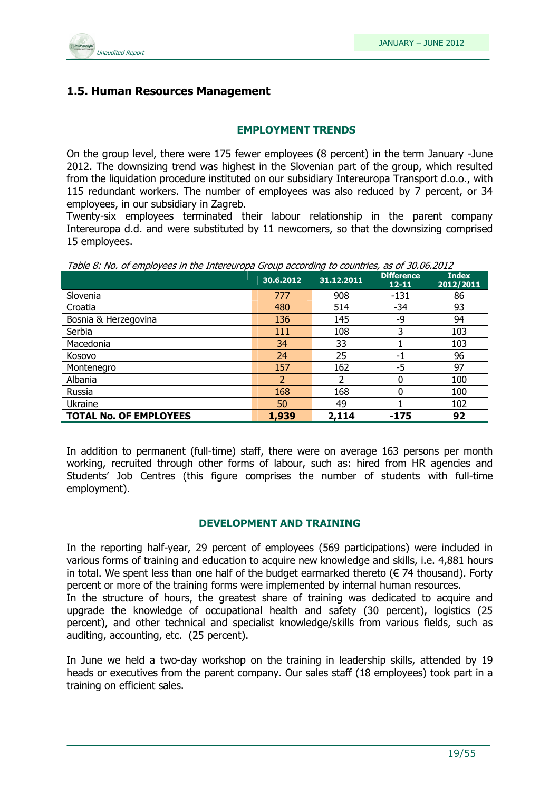

#### 1.5. Human Resources Management

#### EMPLOYMENT TRENDS

On the group level, there were 175 fewer employees (8 percent) in the term January -June 2012. The downsizing trend was highest in the Slovenian part of the group, which resulted from the liquidation procedure instituted on our subsidiary Intereuropa Transport d.o.o., with 115 redundant workers. The number of employees was also reduced by 7 percent, or 34 employees, in our subsidiary in Zagreb.

Twenty-six employees terminated their labour relationship in the parent company Intereuropa d.d. and were substituted by 11 newcomers, so that the downsizing comprised 15 employees.

Table 8: No. of employees in the Intereuropa Group according to countries, as of 30.06.2012

|                               | 30.6.2012 | 31.12.2011 | <b>Difference</b><br>$12 - 11$ | <b>Index</b><br>2012/2011 |
|-------------------------------|-----------|------------|--------------------------------|---------------------------|
| Slovenia                      | 777       | 908        | $-131$                         | 86                        |
| Croatia                       | 480       | 514        | $-34$                          | 93                        |
| Bosnia & Herzegovina          | 136       | 145        | -9                             | 94                        |
| Serbia                        | 111       | 108        | 3                              | 103                       |
| Macedonia                     | 34        | 33         |                                | 103                       |
| Kosovo                        | 24        | 25         | -1                             | 96                        |
| Montenegro                    | 157       | 162        | -5                             | 97                        |
| Albania                       |           |            |                                | 100                       |
| Russia                        | 168       | 168        | 0                              | 100                       |
| Ukraine                       | 50        | 49         |                                | 102                       |
| <b>TOTAL No. OF EMPLOYEES</b> | 1,939     | 2,114      | -175                           | 92                        |

In addition to permanent (full-time) staff, there were on average 163 persons per month working, recruited through other forms of labour, such as: hired from HR agencies and Students' Job Centres (this figure comprises the number of students with full-time employment).

#### DEVELOPMENT AND TRAINING

In the reporting half-year, 29 percent of employees (569 participations) were included in various forms of training and education to acquire new knowledge and skills, i.e. 4,881 hours in total. We spent less than one half of the budget earmarked thereto ( $\epsilon$  74 thousand). Forty percent or more of the training forms were implemented by internal human resources.

In the structure of hours, the greatest share of training was dedicated to acquire and upgrade the knowledge of occupational health and safety (30 percent), logistics (25 percent), and other technical and specialist knowledge/skills from various fields, such as auditing, accounting, etc. (25 percent).

In June we held a two-day workshop on the training in leadership skills, attended by 19 heads or executives from the parent company. Our sales staff (18 employees) took part in a training on efficient sales.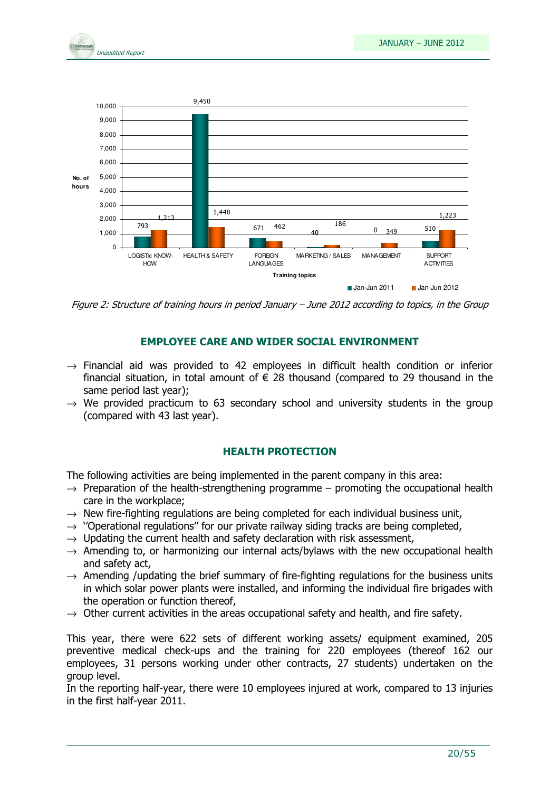



Figure 2: Structure of training hours in period January – June 2012 according to topics, in the Group

#### EMPLOYEE CARE AND WIDER SOCIAL ENVIRONMENT

- $\rightarrow$  Financial aid was provided to 42 employees in difficult health condition or inferior financial situation, in total amount of  $\epsilon$  28 thousand (compared to 29 thousand in the same period last year);
- $\rightarrow$  We provided practicum to 63 secondary school and university students in the group (compared with 43 last year).

#### HEALTH PROTECTION

The following activities are being implemented in the parent company in this area:

- $\rightarrow$  Preparation of the health-strengthening programme promoting the occupational health care in the workplace;
- $\rightarrow$  New fire-fighting regulations are being completed for each individual business unit,
- $\rightarrow$  ''Operational regulations'' for our private railway siding tracks are being completed,
- $\rightarrow$  Updating the current health and safety declaration with risk assessment,
- $\rightarrow$  Amending to, or harmonizing our internal acts/bylaws with the new occupational health and safety act,
- $\rightarrow$  Amending /updating the brief summary of fire-fighting regulations for the business units in which solar power plants were installed, and informing the individual fire brigades with the operation or function thereof,
- $\rightarrow$  Other current activities in the areas occupational safety and health, and fire safety.

This year, there were 622 sets of different working assets/ equipment examined, 205 preventive medical check-ups and the training for 220 employees (thereof 162 our employees, 31 persons working under other contracts, 27 students) undertaken on the group level.

In the reporting half-year, there were 10 employees injured at work, compared to 13 injuries in the first half-year 2011.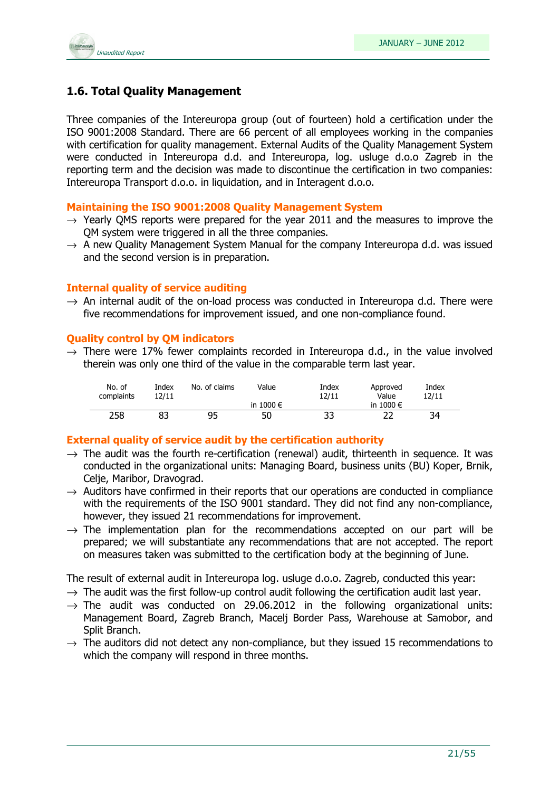

## 1.6. Total Quality Management

Three companies of the Intereuropa group (out of fourteen) hold a certification under the ISO 9001:2008 Standard. There are 66 percent of all employees working in the companies with certification for quality management. External Audits of the Quality Management System were conducted in Intereuropa d.d. and Intereuropa, log. usluge d.o.o Zagreb in the reporting term and the decision was made to discontinue the certification in two companies: Intereuropa Transport d.o.o. in liquidation, and in Interagent d.o.o.

#### Maintaining the ISO 9001:2008 Quality Management System

- $\rightarrow$  Yearly QMS reports were prepared for the year 2011 and the measures to improve the QM system were triggered in all the three companies.
- $\rightarrow$  A new Ouality Management System Manual for the company Intereuropa d.d. was issued and the second version is in preparation.

#### Internal quality of service auditing

 $\rightarrow$  An internal audit of the on-load process was conducted in Intereuropa d.d. There were five recommendations for improvement issued, and one non-compliance found.

#### Quality control by QM indicators

 $\rightarrow$  There were 17% fewer complaints recorded in Intereuropa d.d., in the value involved therein was only one third of the value in the comparable term last year.

| No. of<br>complaints | Index<br>12/11 | No. of claims | Value         | Index<br>12/11 | Approved<br>Value  | Index<br>12/11 |
|----------------------|----------------|---------------|---------------|----------------|--------------------|----------------|
|                      |                |               | in 1000 $\in$ |                | in 1000 $\epsilon$ |                |
| 258                  |                | 95            | 50            | 33             |                    | 34             |

#### External quality of service audit by the certification authority

- $\rightarrow$  The audit was the fourth re-certification (renewal) audit, thirteenth in sequence. It was conducted in the organizational units: Managing Board, business units (BU) Koper, Brnik, Celje, Maribor, Dravograd.
- $\rightarrow$  Auditors have confirmed in their reports that our operations are conducted in compliance with the requirements of the ISO 9001 standard. They did not find any non-compliance, however, they issued 21 recommendations for improvement.
- $\rightarrow$  The implementation plan for the recommendations accepted on our part will be prepared; we will substantiate any recommendations that are not accepted. The report on measures taken was submitted to the certification body at the beginning of June.

The result of external audit in Intereuropa log. usluge d.o.o. Zagreb, conducted this year:

- $\rightarrow$  The audit was the first follow-up control audit following the certification audit last year.
- $\rightarrow$  The audit was conducted on 29.06.2012 in the following organizational units: Management Board, Zagreb Branch, Macelj Border Pass, Warehouse at Samobor, and Split Branch.
- $\rightarrow$  The auditors did not detect any non-compliance, but they issued 15 recommendations to which the company will respond in three months.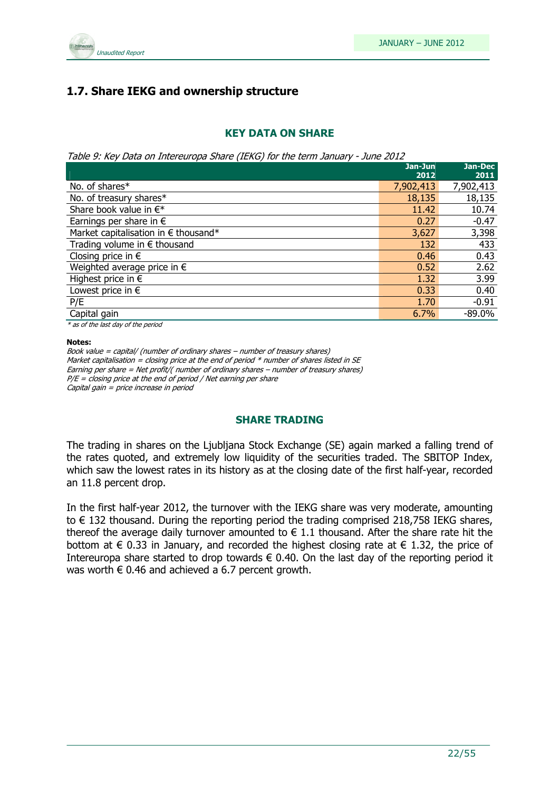

## 1.7. Share IEKG and ownership structure

#### KEY DATA ON SHARE

Table 9: Key Data on Intereuropa Share (IEKG) for the term January - June 2012

|                                               | Jan-Jun   | Jan-Dec   |
|-----------------------------------------------|-----------|-----------|
|                                               | 2012      | 2011      |
| No. of shares*                                | 7,902,413 | 7,902,413 |
| No. of treasury shares*                       | 18,135    | 18,135    |
| Share book value in $\in^*$                   | 11.42     | 10.74     |
| Earnings per share in $\epsilon$              | 0.27      | $-0.47$   |
| Market capitalisation in $\epsilon$ thousand* | 3,627     | 3,398     |
| Trading volume in $\epsilon$ thousand         | 132       | 433       |
| Closing price in $\epsilon$                   | 0.46      | 0.43      |
| Weighted average price in $\epsilon$          | 0.52      | 2.62      |
| Highest price in $\epsilon$                   | 1.32      | 3.99      |
| Lowest price in $\epsilon$                    | 0.33      | 0.40      |
| P/E                                           | 1.70      | $-0.91$   |
| Capital gain                                  | 6.7%      | $-89.0%$  |
|                                               |           |           |

\* as of the last day of the period

#### Notes:

Book value = capital/ (number of ordinary shares – number of treasury shares) Market capitalisation = closing price at the end of period  $*$  number of shares listed in SE Earning per share = Net profit/( number of ordinary shares – number of treasury shares)  $P/E = closing$  price at the end of period / Net earning per share Capital gain = price increase in period

#### SHARE TRADING

The trading in shares on the Ljubljana Stock Exchange (SE) again marked a falling trend of the rates quoted, and extremely low liquidity of the securities traded. The SBITOP Index, which saw the lowest rates in its history as at the closing date of the first half-year, recorded an 11.8 percent drop.

In the first half-year 2012, the turnover with the IEKG share was very moderate, amounting to € 132 thousand. During the reporting period the trading comprised 218,758 IEKG shares, thereof the average daily turnover amounted to  $\in$  1.1 thousand. After the share rate hit the bottom at  $\epsilon$  0.33 in January, and recorded the highest closing rate at  $\epsilon$  1.32, the price of Intereuropa share started to drop towards  $\epsilon$  0.40. On the last day of the reporting period it was worth  $\epsilon$  0.46 and achieved a 6.7 percent growth.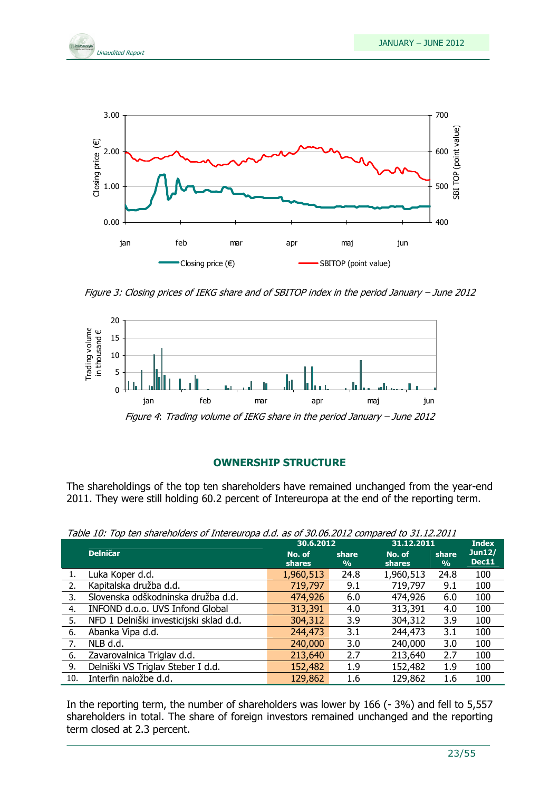



Figure 3: Closing prices of IEKG share and of SBITOP index in the period January – June 2012



Figure 4: Trading volume of IEKG share in the period January – June 2012

#### OWNERSHIP STRUCTURE

The shareholdings of the top ten shareholders have remained unchanged from the year-end 2011. They were still holding 60.2 percent of Intereuropa at the end of the reporting term.

|     |                                         | 30.6.2012               |                        | 31.12.2011              |                        | <b>Index</b>    |
|-----|-----------------------------------------|-------------------------|------------------------|-------------------------|------------------------|-----------------|
|     | <b>Delničar</b>                         | No. of<br><b>shares</b> | share<br>$\frac{9}{6}$ | No. of<br><b>shares</b> | share<br>$\frac{9}{0}$ | Jun12/<br>Dec11 |
|     | Luka Koper d.d.                         | 1,960,513               | 24.8                   | 1,960,513               | 24.8                   | 100             |
| 2.  | Kapitalska družba d.d.                  | 719,797                 | 9.1                    | 719,797                 | 9.1                    | 100             |
| 3.  | Slovenska odškodninska družba d.d.      | 474,926                 | 6.0                    | 474,926                 | 6.0                    | 100             |
| 4.  | INFOND d.o.o. UVS Infond Global         | 313,391                 | 4.0                    | 313,391                 | 4.0                    | 100             |
| 5.  | NFD 1 Delniški investicijski sklad d.d. | 304,312                 | 3.9                    | 304,312                 | 3.9                    | 100             |
| 6.  | Abanka Vipa d.d.                        | 244,473                 | 3.1                    | 244,473                 | 3.1                    | 100             |
| 7.  | NLB d.d.                                | 240,000                 | 3.0                    | 240,000                 | 3.0                    | 100             |
| 6.  | Zavarovalnica Triglav d.d.              | 213,640                 | 2.7                    | 213,640                 | 2.7                    | 100             |
| 9.  | Delniški VS Triglav Steber I d.d.       | 152,482                 | 1.9                    | 152,482                 | 1.9                    | 100             |
| 10. | Interfin naložbe d.d.                   | 129,862                 | 1.6                    | 129,862                 | 1.6                    | 100             |

Table 10: Top ten shareholders of Intereuropa d.d. as of 30.06.2012 compared to 31.12.2011

In the reporting term, the number of shareholders was lower by 166 (-3%) and fell to 5,557 shareholders in total. The share of foreign investors remained unchanged and the reporting term closed at 2.3 percent.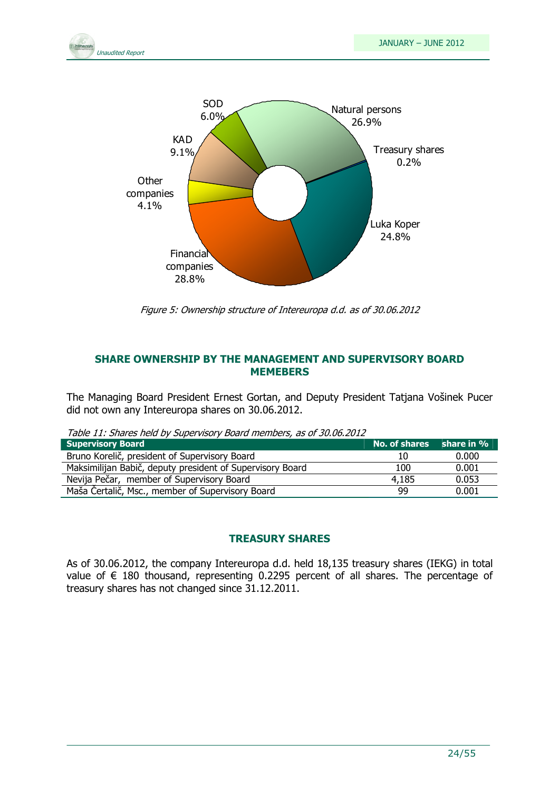



Figure 5: Ownership structure of Intereuropa d.d. as of 30.06.2012

#### SHARE OWNERSHIP BY THE MANAGEMENT AND SUPERVISORY BOARD **MEMEBERS**

The Managing Board President Ernest Gortan, and Deputy President Tatjana Vošinek Pucer did not own any Intereuropa shares on 30.06.2012.

Table 11: Shares held by Supervisory Board members, as of 30.06.2012

| <b>Supervisory Board</b>                                  | No. of shares share in % |       |
|-----------------------------------------------------------|--------------------------|-------|
| Bruno Korelič, president of Supervisory Board             |                          | 0.000 |
| Maksimilijan Babič, deputy president of Supervisory Board | 100                      | 0.001 |
| Nevija Pečar, member of Supervisory Board                 | 4.185                    | 0.053 |
| Maša Čertalič, Msc., member of Supervisory Board          | 99                       | 0.001 |

#### TREASURY SHARES

As of 30.06.2012, the company Intereuropa d.d. held 18,135 treasury shares (IEKG) in total value of  $∈$  180 thousand, representing 0.2295 percent of all shares. The percentage of treasury shares has not changed since 31.12.2011.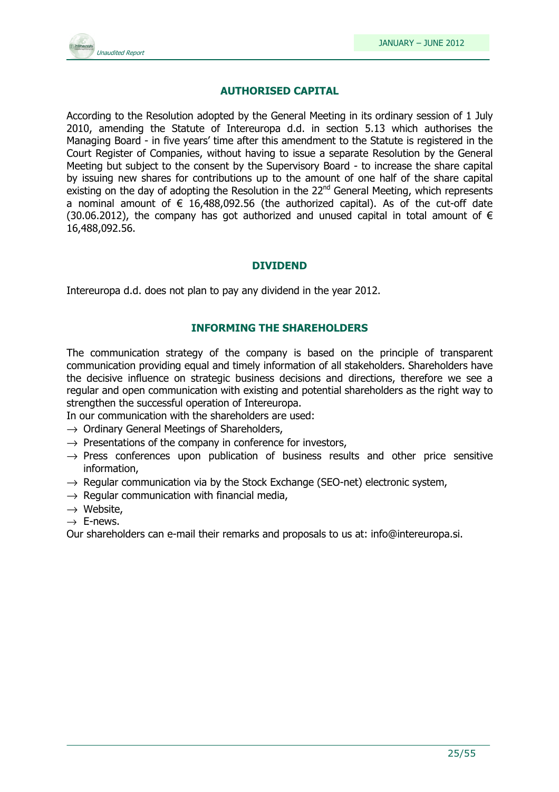

#### AUTHORISED CAPITAL

According to the Resolution adopted by the General Meeting in its ordinary session of 1 July 2010, amending the Statute of Intereuropa d.d. in section 5.13 which authorises the Managing Board - in five years' time after this amendment to the Statute is registered in the Court Register of Companies, without having to issue a separate Resolution by the General Meeting but subject to the consent by the Supervisory Board - to increase the share capital by issuing new shares for contributions up to the amount of one half of the share capital existing on the day of adopting the Resolution in the  $22^{nd}$  General Meeting, which represents a nominal amount of  $\epsilon$  16,488,092.56 (the authorized capital). As of the cut-off date (30.06.2012), the company has got authorized and unused capital in total amount of  $\epsilon$ 16,488,092.56.

#### DIVIDEND

Intereuropa d.d. does not plan to pay any dividend in the year 2012.

#### INFORMING THE SHAREHOLDERS

The communication strategy of the company is based on the principle of transparent communication providing equal and timely information of all stakeholders. Shareholders have the decisive influence on strategic business decisions and directions, therefore we see a regular and open communication with existing and potential shareholders as the right way to strengthen the successful operation of Intereuropa.

In our communication with the shareholders are used:

- $\rightarrow$  Ordinary General Meetings of Shareholders,
- $\rightarrow$  Presentations of the company in conference for investors,
- $\rightarrow$  Press conferences upon publication of business results and other price sensitive information,
- $\rightarrow$  Regular communication via by the Stock Exchange (SEO-net) electronic system,
- $\rightarrow$  Regular communication with financial media,
- $\rightarrow$  Website,
- $\rightarrow$  E-news.

Our shareholders can e-mail their remarks and proposals to us at: info@intereuropa.si.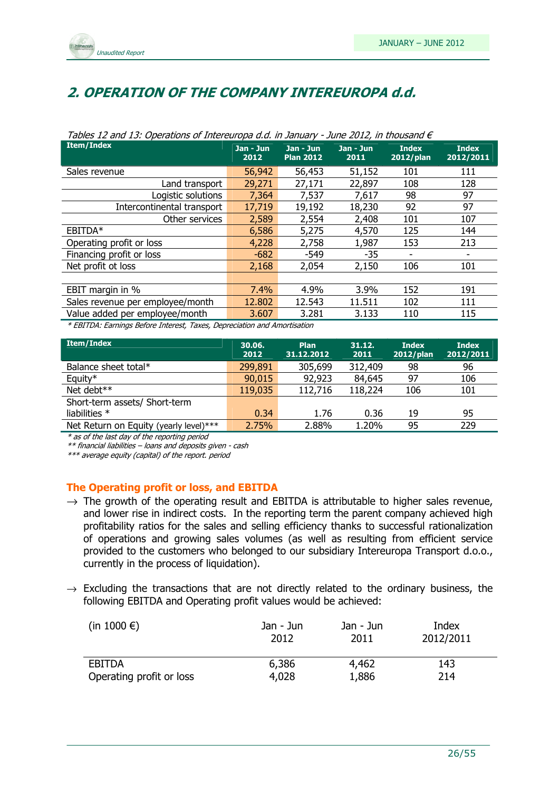

## 2. OPERATION OF THE COMPANY INTEREUROPA d.d.

| rapics in and is. operations or intercarged and in sandary<br>$30.72$ $20.12$ , $11$ $0.700$ $0.70$ |                   |                               |                     |                              |                           |  |
|-----------------------------------------------------------------------------------------------------|-------------------|-------------------------------|---------------------|------------------------------|---------------------------|--|
| <b>Item/Index</b>                                                                                   | Jan - Jun<br>2012 | Jan - Jun<br><b>Plan 2012</b> | $Jan - Jun$<br>2011 | <b>Index</b><br>$2012$ /plan | <b>Index</b><br>2012/2011 |  |
| Sales revenue                                                                                       | 56,942            | 56,453                        | 51,152              | 101                          | 111                       |  |
| Land transport                                                                                      | 29,271            | 27,171                        | 22,897              | 108                          | 128                       |  |
| Logistic solutions                                                                                  | 7,364             | 7,537                         | 7,617               | 98                           | 97                        |  |
| Intercontinental transport                                                                          | 17,719            | 19,192                        | 18,230              | 92                           | 97                        |  |
| Other services                                                                                      | 2,589             | 2,554                         | 2,408               | 101                          | 107                       |  |
| EBITDA*                                                                                             | 6,586             | 5,275                         | 4,570               | 125                          | 144                       |  |
| Operating profit or loss                                                                            | 4,228             | 2,758                         | 1,987               | 153                          | 213                       |  |
| Financing profit or loss                                                                            | $-682$            | $-549$                        | $-35$               |                              |                           |  |
| Net profit ot loss                                                                                  | 2,168             | 2,054                         | 2,150               | 106                          | 101                       |  |
|                                                                                                     |                   |                               |                     |                              |                           |  |
| EBIT margin in %                                                                                    | 7.4%              | 4.9%                          | 3.9%                | 152                          | 191                       |  |
| Sales revenue per employee/month                                                                    | 12.802            | 12.543                        | 11.511              | 102                          | 111                       |  |
| Value added per employee/month                                                                      | 3.607             | 3.281                         | 3.133               | 110                          | 115                       |  |
| * EDITOA: Founings Defeue Internet, Touse, Depressiption and Americation                            |                   |                               |                     |                              |                           |  |

#### Tables 12 and 13: Operations of Intereuropa d.d. in January - June 2012, in thousand  $\epsilon$

\* EBITDA: Earnings Before Interest, Taxes, Depreciation and Amortisation

| <b>Item/Index</b>                      | 30.06.<br>2012 | Plan<br>31.12.2012 | 31.12.<br>2011 | <b>Index</b><br>2012/plan | <b>Index</b><br>2012/2011 |
|----------------------------------------|----------------|--------------------|----------------|---------------------------|---------------------------|
| Balance sheet total*                   | 299,891        | 305,699            | 312,409        | 98                        | 96                        |
| Equity*                                | 90,015         | 92,923             | 84,645         | 97                        | 106                       |
| Net debt**                             | 119,035        | 112,716            | 118,224        | 106                       | 101                       |
| Short-term assets/ Short-term          |                |                    |                |                           |                           |
| liabilities $*$                        | 0.34           | 1.76               | 0.36           | 19                        | 95                        |
| Net Return on Equity (yearly level)*** | 2.75%          | 2.88%              | 1.20%          | 95                        | 229                       |

\* as of the last day of the reporting period

\*\* financial liabilities – loans and deposits given - cash

\*\*\* average equity (capital) of the report. period

#### The Operating profit or loss, and EBITDA

- $\rightarrow$  The growth of the operating result and EBITDA is attributable to higher sales revenue, and lower rise in indirect costs. In the reporting term the parent company achieved high profitability ratios for the sales and selling efficiency thanks to successful rationalization of operations and growing sales volumes (as well as resulting from efficient service provided to the customers who belonged to our subsidiary Intereuropa Transport d.o.o., currently in the process of liquidation).
- $\rightarrow$  Excluding the transactions that are not directly related to the ordinary business, the following EBITDA and Operating profit values would be achieved:

| (in 1000 $\epsilon$ )    | Jan - Jun<br>2012 | Jan - Jun<br>2011 | Index<br>2012/2011 |
|--------------------------|-------------------|-------------------|--------------------|
| <b>EBITDA</b>            | 6,386             | 4,462             | 143                |
| Operating profit or loss | 4,028             | 1,886             | 214                |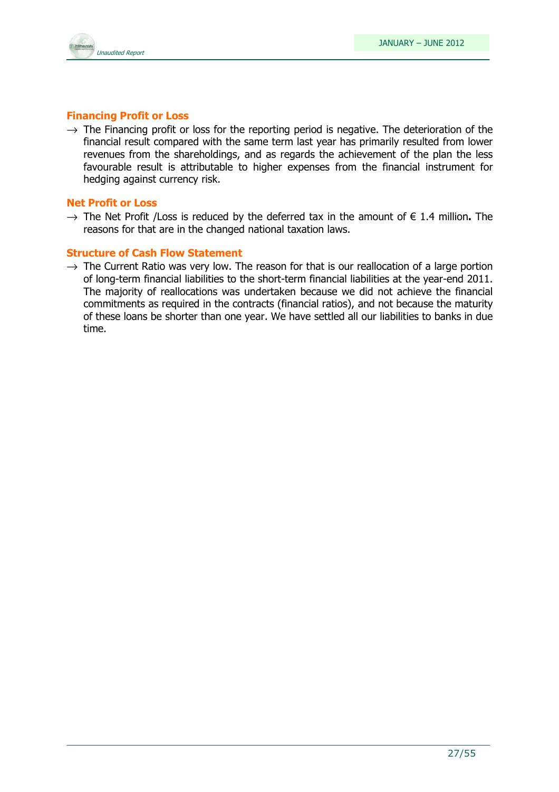

#### Financing Profit or Loss

 $\rightarrow$  The Financing profit or loss for the reporting period is negative. The deterioration of the financial result compared with the same term last year has primarily resulted from lower revenues from the shareholdings, and as regards the achievement of the plan the less favourable result is attributable to higher expenses from the financial instrument for hedging against currency risk.

#### Net Profit or Loss

 $\rightarrow$  The Net Profit /Loss is reduced by the deferred tax in the amount of  $\epsilon$  1.4 million. The reasons for that are in the changed national taxation laws.

#### Structure of Cash Flow Statement

 $\rightarrow$  The Current Ratio was very low. The reason for that is our reallocation of a large portion of long-term financial liabilities to the short-term financial liabilities at the year-end 2011. The majority of reallocations was undertaken because we did not achieve the financial commitments as required in the contracts (financial ratios), and not because the maturity of these loans be shorter than one year. We have settled all our liabilities to banks in due time.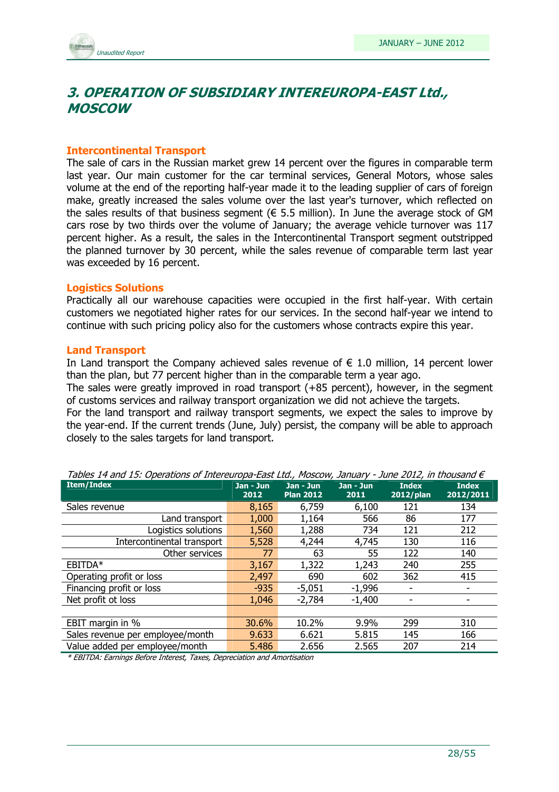## 3. OPERATION OF SUBSIDIARY INTEREUROPA-EAST Ltd., MOSCOW

#### Intercontinental Transport

The sale of cars in the Russian market grew 14 percent over the figures in comparable term last year. Our main customer for the car terminal services, General Motors, whose sales volume at the end of the reporting half-year made it to the leading supplier of cars of foreign make, greatly increased the sales volume over the last year's turnover, which reflected on the sales results of that business segment ( $\epsilon$  5.5 million). In June the average stock of GM cars rose by two thirds over the volume of January; the average vehicle turnover was 117 percent higher. As a result, the sales in the Intercontinental Transport segment outstripped the planned turnover by 30 percent, while the sales revenue of comparable term last year was exceeded by 16 percent.

#### Logistics Solutions

Practically all our warehouse capacities were occupied in the first half-year. With certain customers we negotiated higher rates for our services. In the second half-year we intend to continue with such pricing policy also for the customers whose contracts expire this year.

#### Land Transport

In Land transport the Company achieved sales revenue of  $\epsilon$  1.0 million, 14 percent lower than the plan, but 77 percent higher than in the comparable term a year ago.

The sales were greatly improved in road transport (+85 percent), however, in the segment of customs services and railway transport organization we did not achieve the targets.

For the land transport and railway transport segments, we expect the sales to improve by the year-end. If the current trends (June, July) persist, the company will be able to approach closely to the sales targets for land transport.

| Tables 14 and 15. Operations of Interegropa-East Ltd., Moscow, January - June 2012, in thousand $\epsilon$ |                   |                               |                   |                              |                           |  |
|------------------------------------------------------------------------------------------------------------|-------------------|-------------------------------|-------------------|------------------------------|---------------------------|--|
| <b>Item/Index</b>                                                                                          | Jan - Jun<br>2012 | Jan - Jun<br><b>Plan 2012</b> | Jan - Jun<br>2011 | <b>Index</b><br>$2012$ /plan | <b>Index</b><br>2012/2011 |  |
| Sales revenue                                                                                              | 8,165             | 6,759                         | 6,100             | 121                          | 134                       |  |
| Land transport                                                                                             | 1,000             | 1,164                         | 566               | 86                           | 177                       |  |
| Logistics solutions                                                                                        | 1,560             | 1,288                         | 734               | 121                          | 212                       |  |
| Intercontinental transport                                                                                 | 5,528             | 4,244                         | 4,745             | 130                          | 116                       |  |
| Other services                                                                                             | 77                | 63                            | 55                | 122                          | 140                       |  |
| EBITDA*                                                                                                    | 3,167             | 1,322                         | 1,243             | 240                          | 255                       |  |
| Operating profit or loss                                                                                   | 2,497             | 690                           | 602               | 362                          | 415                       |  |
| Financing profit or loss                                                                                   | $-935$            | $-5,051$                      | $-1,996$          |                              |                           |  |
| Net profit ot loss                                                                                         | 1,046             | $-2,784$                      | $-1,400$          |                              |                           |  |
|                                                                                                            |                   |                               |                   |                              |                           |  |
| EBIT margin in %                                                                                           | 30.6%             | 10.2%                         | 9.9%              | 299                          | 310                       |  |
| Sales revenue per employee/month                                                                           | 9.633             | 6.621                         | 5.815             | 145                          | 166                       |  |
| Value added per employee/month                                                                             | 5.486             | 2.656                         | 2.565             | 207                          | 214                       |  |

Tables 14 and 15: Operations of Intereuropa-East Ltd., Moscow, January - June 2012, in thousand  $\in$ 

\* EBITDA: Earnings Before Interest, Taxes, Depreciation and Amortisation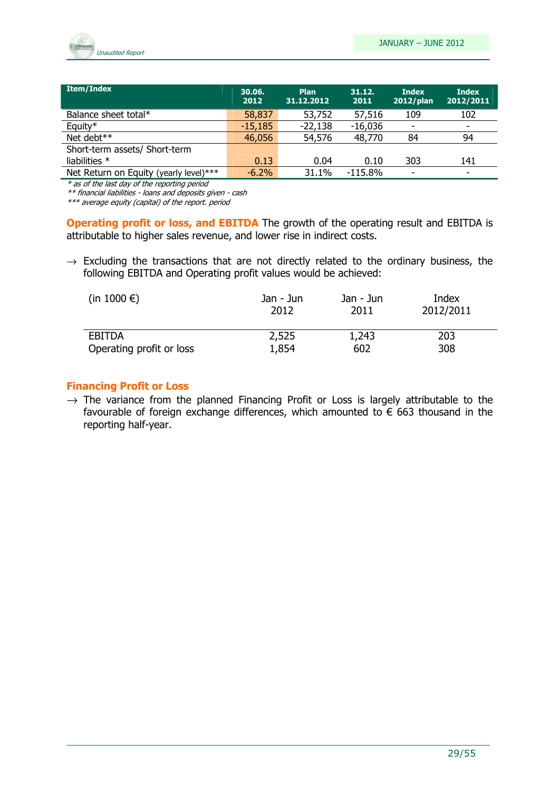

| Item/Index                             | 30.06.<br>2012 | <b>Plan</b><br>31.12.2012 | 31.12.<br>2011 | <b>Index</b><br>2012/plan | <b>Index</b><br>2012/2011 |
|----------------------------------------|----------------|---------------------------|----------------|---------------------------|---------------------------|
| Balance sheet total*                   | 58,837         | 53,752                    | 57,516         | 109                       | 102                       |
| Equity*                                | $-15,185$      | $-22,138$                 | $-16,036$      | ٠                         | ۰                         |
| Net debt**                             | 46,056         | 54,576                    | 48,770         | 84                        | 94                        |
| Short-term assets/ Short-term          |                |                           |                |                           |                           |
| liabilities $*$                        | 0.13           | 0.04                      | 0.10           | 303                       | 141                       |
| Net Return on Equity (yearly level)*** | $-6.2\%$       | 31.1%                     | $-115.8\%$     | -                         | ٠                         |

\* as of the last day of the reporting period

\*\* financial liabilities - loans and deposits given - cash

\*\*\* average equity (capital) of the report. period

Operating profit or loss, and EBITDA The growth of the operating result and EBITDA is attributable to higher sales revenue, and lower rise in indirect costs.

 $\rightarrow$  Excluding the transactions that are not directly related to the ordinary business, the following EBITDA and Operating profit values would be achieved:

| (in 1000 $\epsilon$ )    | Jan - Jun | Jan - Jun | Index     |
|--------------------------|-----------|-----------|-----------|
|                          | 2012      | 2011      | 2012/2011 |
| EBITDA                   | 2,525     | 1,243     | 203       |
| Operating profit or loss | 1,854     | 602       | 308       |

#### Financing Profit or Loss

 $\rightarrow$  The variance from the planned Financing Profit or Loss is largely attributable to the favourable of foreign exchange differences, which amounted to  $\epsilon$  663 thousand in the reporting half-year.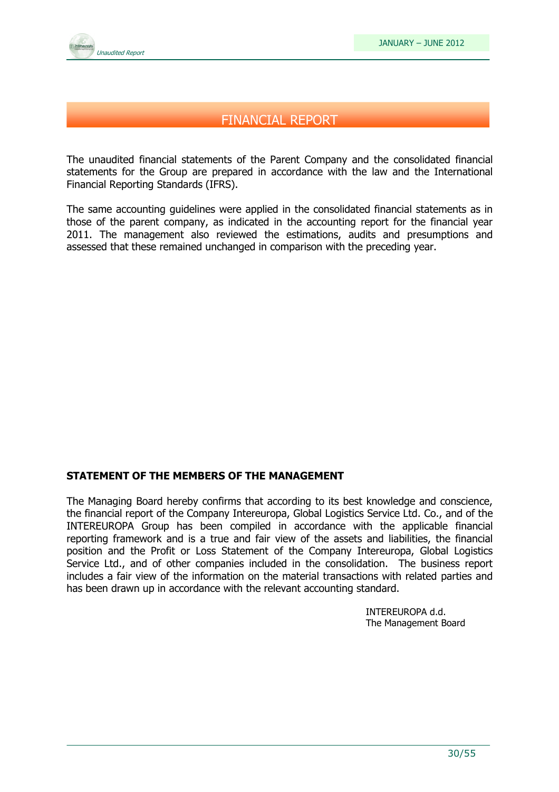

## FINANCIAL REPORT

The unaudited financial statements of the Parent Company and the consolidated financial statements for the Group are prepared in accordance with the law and the International Financial Reporting Standards (IFRS).

The same accounting guidelines were applied in the consolidated financial statements as in those of the parent company, as indicated in the accounting report for the financial year 2011. The management also reviewed the estimations, audits and presumptions and assessed that these remained unchanged in comparison with the preceding year.

#### STATEMENT OF THE MEMBERS OF THE MANAGEMENT

The Managing Board hereby confirms that according to its best knowledge and conscience, the financial report of the Company Intereuropa, Global Logistics Service Ltd. Co., and of the INTEREUROPA Group has been compiled in accordance with the applicable financial reporting framework and is a true and fair view of the assets and liabilities, the financial position and the Profit or Loss Statement of the Company Intereuropa, Global Logistics Service Ltd., and of other companies included in the consolidation. The business report includes a fair view of the information on the material transactions with related parties and has been drawn up in accordance with the relevant accounting standard.

> INTEREUROPA d.d. The Management Board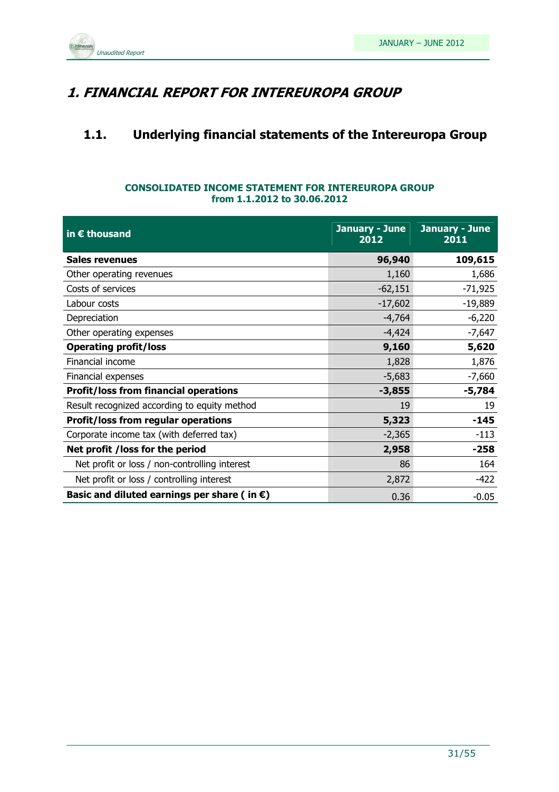

## 1. FINANCIAL REPORT FOR INTEREUROPA GROUP

## 1.1. Underlying financial statements of the Intereuropa Group

#### CONSOLIDATED INCOME STATEMENT FOR INTEREUROPA GROUP from 1.1.2012 to 30.06.2012

| in $\epsilon$ thousand                                | January - June<br>2012 | January - June<br>2011 |
|-------------------------------------------------------|------------------------|------------------------|
| <b>Sales revenues</b>                                 | 96,940                 | 109,615                |
| Other operating revenues                              | 1,160                  | 1,686                  |
| Costs of services                                     | $-62,151$              | $-71,925$              |
| Labour costs                                          | $-17,602$              | $-19,889$              |
| Depreciation                                          | $-4,764$               | $-6,220$               |
| Other operating expenses                              | $-4,424$               | $-7,647$               |
| <b>Operating profit/loss</b>                          | 9,160                  | 5,620                  |
| Financial income                                      | 1,828                  | 1,876                  |
| Financial expenses                                    | $-5,683$               | $-7,660$               |
| <b>Profit/loss from financial operations</b>          | $-3,855$               | $-5,784$               |
| Result recognized according to equity method          | 19                     | 19                     |
| <b>Profit/loss from regular operations</b>            | 5,323                  | $-145$                 |
| Corporate income tax (with deferred tax)              | $-2,365$               | $-113$                 |
| Net profit /loss for the period                       | 2,958                  | $-258$                 |
| Net profit or loss / non-controlling interest         | 86                     | 164                    |
| Net profit or loss / controlling interest             | 2,872                  | $-422$                 |
| Basic and diluted earnings per share (in $\epsilon$ ) | 0.36                   | $-0.05$                |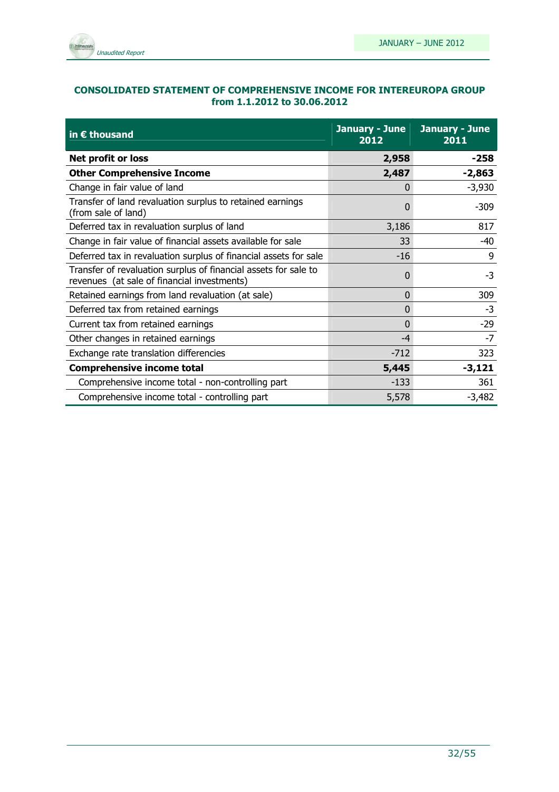

#### CONSOLIDATED STATEMENT OF COMPREHENSIVE INCOME FOR INTEREUROPA GROUP from 1.1.2012 to 30.06.2012

| in $\epsilon$ thousand                                                                                         | January - June<br>2012 | January - June<br>2011 |
|----------------------------------------------------------------------------------------------------------------|------------------------|------------------------|
| Net profit or loss                                                                                             | 2,958                  | $-258$                 |
| <b>Other Comprehensive Income</b>                                                                              | 2,487                  | $-2,863$               |
| Change in fair value of land                                                                                   | 0                      | $-3,930$               |
| Transfer of land revaluation surplus to retained earnings<br>(from sale of land)                               | 0                      | $-309$                 |
| Deferred tax in revaluation surplus of land                                                                    | 3,186                  | 817                    |
| Change in fair value of financial assets available for sale                                                    | 33                     | -40                    |
| Deferred tax in revaluation surplus of financial assets for sale                                               | $-16$                  | 9                      |
| Transfer of revaluation surplus of financial assets for sale to<br>revenues (at sale of financial investments) | O                      | $-3$                   |
| Retained earnings from land revaluation (at sale)                                                              | 0                      | 309                    |
| Deferred tax from retained earnings                                                                            | 0                      | $-3$                   |
| Current tax from retained earnings                                                                             | 0                      | $-29$                  |
| Other changes in retained earnings                                                                             | $-4$                   | $-7$                   |
| Exchange rate translation differencies                                                                         | $-712$                 | 323                    |
| <b>Comprehensive income total</b>                                                                              | 5,445                  | $-3,121$               |
| Comprehensive income total - non-controlling part                                                              | $-133$                 | 361                    |
| Comprehensive income total - controlling part                                                                  | 5,578                  | $-3,482$               |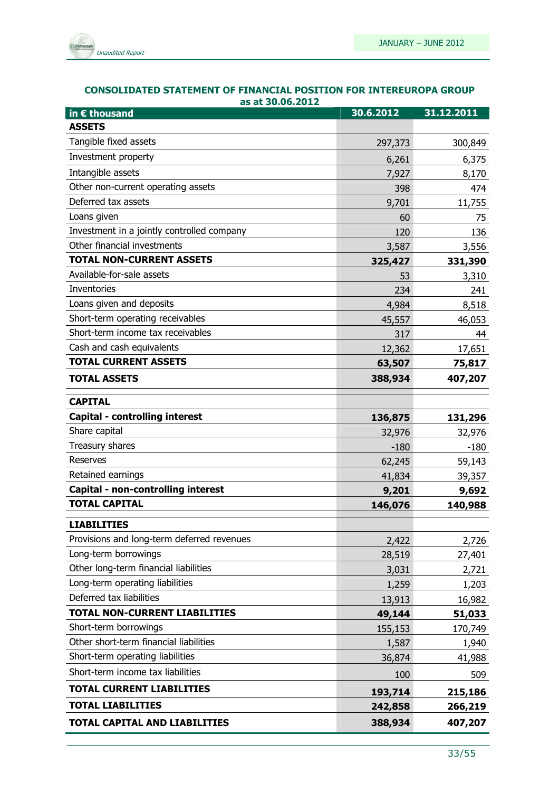

| <b>CONSOLIDATED STATEMENT OF FINANCIAL POSITION FOR INTEREUROPA GROUP</b> |
|---------------------------------------------------------------------------|
| as at 30.06.2012                                                          |

| in € thousand                              | 30.6.2012 | 31.12.2011 |
|--------------------------------------------|-----------|------------|
| <b>ASSETS</b>                              |           |            |
| Tangible fixed assets                      | 297,373   | 300,849    |
| Investment property                        | 6,261     | 6,375      |
| Intangible assets                          | 7,927     | 8,170      |
| Other non-current operating assets         | 398       | 474        |
| Deferred tax assets                        | 9,701     | 11,755     |
| Loans given                                | 60        | 75         |
| Investment in a jointly controlled company | 120       | 136        |
| Other financial investments                | 3,587     | 3,556      |
| <b>TOTAL NON-CURRENT ASSETS</b>            | 325,427   | 331,390    |
| Available-for-sale assets                  | 53        | 3,310      |
| Inventories                                | 234       | 241        |
| Loans given and deposits                   | 4,984     | 8,518      |
| Short-term operating receivables           | 45,557    | 46,053     |
| Short-term income tax receivables          | 317       | 44         |
| Cash and cash equivalents                  | 12,362    | 17,651     |
| <b>TOTAL CURRENT ASSETS</b>                | 63,507    | 75,817     |
| <b>TOTAL ASSETS</b>                        | 388,934   | 407,207    |
| <b>CAPITAL</b>                             |           |            |
| Capital - controlling interest             | 136,875   | 131,296    |
| Share capital                              | 32,976    | 32,976     |
| Treasury shares                            | $-180$    | $-180$     |
| <b>Reserves</b>                            | 62,245    | 59,143     |
| Retained earnings                          | 41,834    | 39,357     |
| Capital - non-controlling interest         | 9,201     | 9,692      |
| <b>TOTAL CAPITAL</b>                       | 146,076   | 140,988    |
| <b>LIABILITIES</b>                         |           |            |
| Provisions and long-term deferred revenues | 2,422     | 2,726      |
| Long-term borrowings                       | 28,519    | 27,401     |
| Other long-term financial liabilities      | 3,031     | 2,721      |
| Long-term operating liabilities            | 1,259     | 1,203      |
| Deferred tax liabilities                   | 13,913    | 16,982     |
| <b>TOTAL NON-CURRENT LIABILITIES</b>       | 49,144    | 51,033     |
| Short-term borrowings                      | 155,153   | 170,749    |
| Other short-term financial liabilities     | 1,587     | 1,940      |
| Short-term operating liabilities           | 36,874    | 41,988     |
| Short-term income tax liabilities          | 100       | 509        |
| <b>TOTAL CURRENT LIABILITIES</b>           | 193,714   | 215,186    |
| <b>TOTAL LIABILITIES</b>                   | 242,858   | 266,219    |
| <b>TOTAL CAPITAL AND LIABILITIES</b>       | 388,934   | 407,207    |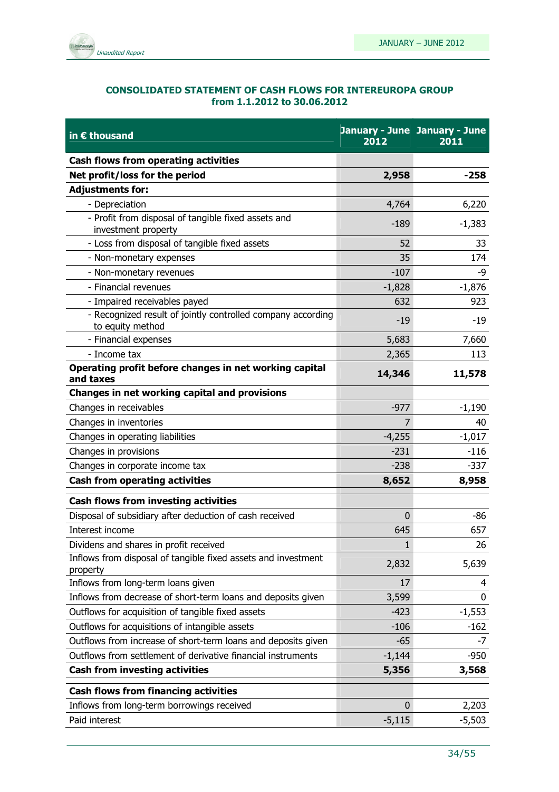

#### CONSOLIDATED STATEMENT OF CASH FLOWS FOR INTEREUROPA GROUP from 1.1.2012 to 30.06.2012

| Cash flows from operating activities<br>Net profit/loss for the period<br>$-258$<br>2,958<br><b>Adjustments for:</b><br>6,220<br>- Depreciation<br>4,764<br>- Profit from disposal of tangible fixed assets and<br>$-1,383$<br>$-189$<br>investment property<br>- Loss from disposal of tangible fixed assets<br>52<br>33<br>174<br>- Non-monetary expenses<br>35<br>$-107$<br>- Non-monetary revenues<br>-9<br>- Financial revenues<br>$-1,828$<br>$-1,876$<br>- Impaired receivables payed<br>632<br>923<br>- Recognized result of jointly controlled company according<br>$-19$<br>-19<br>to equity method<br>5,683<br>7,660<br>- Financial expenses<br>- Income tax<br>113<br>2,365<br>Operating profit before changes in net working capital<br>14,346<br>11,578<br>and taxes<br>Changes in net working capital and provisions<br>Changes in receivables<br>$-977$<br>$-1,190$<br>Changes in inventories<br>40<br>7<br>$-1,017$<br>Changes in operating liabilities<br>$-4,255$<br>$-231$<br>Changes in provisions<br>$-116$<br>$-337$<br>Changes in corporate income tax<br>$-238$<br><b>Cash from operating activities</b><br>8,652<br>8,958<br><b>Cash flows from investing activities</b><br>Disposal of subsidiary after deduction of cash received<br>-86<br>0<br>Interest income<br>645<br>657<br>Dividens and shares in profit received<br>26<br>ı<br>Inflows from disposal of tangible fixed assets and investment<br>2,832<br>5,639<br>property<br>Inflows from long-term loans given<br>17<br>4<br>Inflows from decrease of short-term loans and deposits given<br>3,599<br>0<br>Outflows for acquisition of tangible fixed assets<br>$-1,553$<br>$-423$<br>Outflows for acquisitions of intangible assets<br>$-106$<br>$-162$<br>Outflows from increase of short-term loans and deposits given<br>$-65$<br>$-7$<br>Outflows from settlement of derivative financial instruments<br>$-1,144$<br>$-950$<br><b>Cash from investing activities</b><br>5,356<br>3,568<br><b>Cash flows from financing activities</b><br>Inflows from long-term borrowings received<br>2,203<br>0<br>Paid interest<br>$-5,115$<br>$-5,503$ | in € thousand | 2012 | January - June January - June<br>2011 |
|---------------------------------------------------------------------------------------------------------------------------------------------------------------------------------------------------------------------------------------------------------------------------------------------------------------------------------------------------------------------------------------------------------------------------------------------------------------------------------------------------------------------------------------------------------------------------------------------------------------------------------------------------------------------------------------------------------------------------------------------------------------------------------------------------------------------------------------------------------------------------------------------------------------------------------------------------------------------------------------------------------------------------------------------------------------------------------------------------------------------------------------------------------------------------------------------------------------------------------------------------------------------------------------------------------------------------------------------------------------------------------------------------------------------------------------------------------------------------------------------------------------------------------------------------------------------------------------------------------------------------------------------------------------------------------------------------------------------------------------------------------------------------------------------------------------------------------------------------------------------------------------------------------------------------------------------------------------------------------------------------------------------------------------------------------------------------------------------------------------------------------------|---------------|------|---------------------------------------|
|                                                                                                                                                                                                                                                                                                                                                                                                                                                                                                                                                                                                                                                                                                                                                                                                                                                                                                                                                                                                                                                                                                                                                                                                                                                                                                                                                                                                                                                                                                                                                                                                                                                                                                                                                                                                                                                                                                                                                                                                                                                                                                                                       |               |      |                                       |
|                                                                                                                                                                                                                                                                                                                                                                                                                                                                                                                                                                                                                                                                                                                                                                                                                                                                                                                                                                                                                                                                                                                                                                                                                                                                                                                                                                                                                                                                                                                                                                                                                                                                                                                                                                                                                                                                                                                                                                                                                                                                                                                                       |               |      |                                       |
|                                                                                                                                                                                                                                                                                                                                                                                                                                                                                                                                                                                                                                                                                                                                                                                                                                                                                                                                                                                                                                                                                                                                                                                                                                                                                                                                                                                                                                                                                                                                                                                                                                                                                                                                                                                                                                                                                                                                                                                                                                                                                                                                       |               |      |                                       |
|                                                                                                                                                                                                                                                                                                                                                                                                                                                                                                                                                                                                                                                                                                                                                                                                                                                                                                                                                                                                                                                                                                                                                                                                                                                                                                                                                                                                                                                                                                                                                                                                                                                                                                                                                                                                                                                                                                                                                                                                                                                                                                                                       |               |      |                                       |
|                                                                                                                                                                                                                                                                                                                                                                                                                                                                                                                                                                                                                                                                                                                                                                                                                                                                                                                                                                                                                                                                                                                                                                                                                                                                                                                                                                                                                                                                                                                                                                                                                                                                                                                                                                                                                                                                                                                                                                                                                                                                                                                                       |               |      |                                       |
|                                                                                                                                                                                                                                                                                                                                                                                                                                                                                                                                                                                                                                                                                                                                                                                                                                                                                                                                                                                                                                                                                                                                                                                                                                                                                                                                                                                                                                                                                                                                                                                                                                                                                                                                                                                                                                                                                                                                                                                                                                                                                                                                       |               |      |                                       |
|                                                                                                                                                                                                                                                                                                                                                                                                                                                                                                                                                                                                                                                                                                                                                                                                                                                                                                                                                                                                                                                                                                                                                                                                                                                                                                                                                                                                                                                                                                                                                                                                                                                                                                                                                                                                                                                                                                                                                                                                                                                                                                                                       |               |      |                                       |
|                                                                                                                                                                                                                                                                                                                                                                                                                                                                                                                                                                                                                                                                                                                                                                                                                                                                                                                                                                                                                                                                                                                                                                                                                                                                                                                                                                                                                                                                                                                                                                                                                                                                                                                                                                                                                                                                                                                                                                                                                                                                                                                                       |               |      |                                       |
|                                                                                                                                                                                                                                                                                                                                                                                                                                                                                                                                                                                                                                                                                                                                                                                                                                                                                                                                                                                                                                                                                                                                                                                                                                                                                                                                                                                                                                                                                                                                                                                                                                                                                                                                                                                                                                                                                                                                                                                                                                                                                                                                       |               |      |                                       |
|                                                                                                                                                                                                                                                                                                                                                                                                                                                                                                                                                                                                                                                                                                                                                                                                                                                                                                                                                                                                                                                                                                                                                                                                                                                                                                                                                                                                                                                                                                                                                                                                                                                                                                                                                                                                                                                                                                                                                                                                                                                                                                                                       |               |      |                                       |
|                                                                                                                                                                                                                                                                                                                                                                                                                                                                                                                                                                                                                                                                                                                                                                                                                                                                                                                                                                                                                                                                                                                                                                                                                                                                                                                                                                                                                                                                                                                                                                                                                                                                                                                                                                                                                                                                                                                                                                                                                                                                                                                                       |               |      |                                       |
|                                                                                                                                                                                                                                                                                                                                                                                                                                                                                                                                                                                                                                                                                                                                                                                                                                                                                                                                                                                                                                                                                                                                                                                                                                                                                                                                                                                                                                                                                                                                                                                                                                                                                                                                                                                                                                                                                                                                                                                                                                                                                                                                       |               |      |                                       |
|                                                                                                                                                                                                                                                                                                                                                                                                                                                                                                                                                                                                                                                                                                                                                                                                                                                                                                                                                                                                                                                                                                                                                                                                                                                                                                                                                                                                                                                                                                                                                                                                                                                                                                                                                                                                                                                                                                                                                                                                                                                                                                                                       |               |      |                                       |
|                                                                                                                                                                                                                                                                                                                                                                                                                                                                                                                                                                                                                                                                                                                                                                                                                                                                                                                                                                                                                                                                                                                                                                                                                                                                                                                                                                                                                                                                                                                                                                                                                                                                                                                                                                                                                                                                                                                                                                                                                                                                                                                                       |               |      |                                       |
|                                                                                                                                                                                                                                                                                                                                                                                                                                                                                                                                                                                                                                                                                                                                                                                                                                                                                                                                                                                                                                                                                                                                                                                                                                                                                                                                                                                                                                                                                                                                                                                                                                                                                                                                                                                                                                                                                                                                                                                                                                                                                                                                       |               |      |                                       |
|                                                                                                                                                                                                                                                                                                                                                                                                                                                                                                                                                                                                                                                                                                                                                                                                                                                                                                                                                                                                                                                                                                                                                                                                                                                                                                                                                                                                                                                                                                                                                                                                                                                                                                                                                                                                                                                                                                                                                                                                                                                                                                                                       |               |      |                                       |
|                                                                                                                                                                                                                                                                                                                                                                                                                                                                                                                                                                                                                                                                                                                                                                                                                                                                                                                                                                                                                                                                                                                                                                                                                                                                                                                                                                                                                                                                                                                                                                                                                                                                                                                                                                                                                                                                                                                                                                                                                                                                                                                                       |               |      |                                       |
|                                                                                                                                                                                                                                                                                                                                                                                                                                                                                                                                                                                                                                                                                                                                                                                                                                                                                                                                                                                                                                                                                                                                                                                                                                                                                                                                                                                                                                                                                                                                                                                                                                                                                                                                                                                                                                                                                                                                                                                                                                                                                                                                       |               |      |                                       |
|                                                                                                                                                                                                                                                                                                                                                                                                                                                                                                                                                                                                                                                                                                                                                                                                                                                                                                                                                                                                                                                                                                                                                                                                                                                                                                                                                                                                                                                                                                                                                                                                                                                                                                                                                                                                                                                                                                                                                                                                                                                                                                                                       |               |      |                                       |
|                                                                                                                                                                                                                                                                                                                                                                                                                                                                                                                                                                                                                                                                                                                                                                                                                                                                                                                                                                                                                                                                                                                                                                                                                                                                                                                                                                                                                                                                                                                                                                                                                                                                                                                                                                                                                                                                                                                                                                                                                                                                                                                                       |               |      |                                       |
|                                                                                                                                                                                                                                                                                                                                                                                                                                                                                                                                                                                                                                                                                                                                                                                                                                                                                                                                                                                                                                                                                                                                                                                                                                                                                                                                                                                                                                                                                                                                                                                                                                                                                                                                                                                                                                                                                                                                                                                                                                                                                                                                       |               |      |                                       |
|                                                                                                                                                                                                                                                                                                                                                                                                                                                                                                                                                                                                                                                                                                                                                                                                                                                                                                                                                                                                                                                                                                                                                                                                                                                                                                                                                                                                                                                                                                                                                                                                                                                                                                                                                                                                                                                                                                                                                                                                                                                                                                                                       |               |      |                                       |
|                                                                                                                                                                                                                                                                                                                                                                                                                                                                                                                                                                                                                                                                                                                                                                                                                                                                                                                                                                                                                                                                                                                                                                                                                                                                                                                                                                                                                                                                                                                                                                                                                                                                                                                                                                                                                                                                                                                                                                                                                                                                                                                                       |               |      |                                       |
|                                                                                                                                                                                                                                                                                                                                                                                                                                                                                                                                                                                                                                                                                                                                                                                                                                                                                                                                                                                                                                                                                                                                                                                                                                                                                                                                                                                                                                                                                                                                                                                                                                                                                                                                                                                                                                                                                                                                                                                                                                                                                                                                       |               |      |                                       |
|                                                                                                                                                                                                                                                                                                                                                                                                                                                                                                                                                                                                                                                                                                                                                                                                                                                                                                                                                                                                                                                                                                                                                                                                                                                                                                                                                                                                                                                                                                                                                                                                                                                                                                                                                                                                                                                                                                                                                                                                                                                                                                                                       |               |      |                                       |
|                                                                                                                                                                                                                                                                                                                                                                                                                                                                                                                                                                                                                                                                                                                                                                                                                                                                                                                                                                                                                                                                                                                                                                                                                                                                                                                                                                                                                                                                                                                                                                                                                                                                                                                                                                                                                                                                                                                                                                                                                                                                                                                                       |               |      |                                       |
|                                                                                                                                                                                                                                                                                                                                                                                                                                                                                                                                                                                                                                                                                                                                                                                                                                                                                                                                                                                                                                                                                                                                                                                                                                                                                                                                                                                                                                                                                                                                                                                                                                                                                                                                                                                                                                                                                                                                                                                                                                                                                                                                       |               |      |                                       |
|                                                                                                                                                                                                                                                                                                                                                                                                                                                                                                                                                                                                                                                                                                                                                                                                                                                                                                                                                                                                                                                                                                                                                                                                                                                                                                                                                                                                                                                                                                                                                                                                                                                                                                                                                                                                                                                                                                                                                                                                                                                                                                                                       |               |      |                                       |
|                                                                                                                                                                                                                                                                                                                                                                                                                                                                                                                                                                                                                                                                                                                                                                                                                                                                                                                                                                                                                                                                                                                                                                                                                                                                                                                                                                                                                                                                                                                                                                                                                                                                                                                                                                                                                                                                                                                                                                                                                                                                                                                                       |               |      |                                       |
|                                                                                                                                                                                                                                                                                                                                                                                                                                                                                                                                                                                                                                                                                                                                                                                                                                                                                                                                                                                                                                                                                                                                                                                                                                                                                                                                                                                                                                                                                                                                                                                                                                                                                                                                                                                                                                                                                                                                                                                                                                                                                                                                       |               |      |                                       |
|                                                                                                                                                                                                                                                                                                                                                                                                                                                                                                                                                                                                                                                                                                                                                                                                                                                                                                                                                                                                                                                                                                                                                                                                                                                                                                                                                                                                                                                                                                                                                                                                                                                                                                                                                                                                                                                                                                                                                                                                                                                                                                                                       |               |      |                                       |
|                                                                                                                                                                                                                                                                                                                                                                                                                                                                                                                                                                                                                                                                                                                                                                                                                                                                                                                                                                                                                                                                                                                                                                                                                                                                                                                                                                                                                                                                                                                                                                                                                                                                                                                                                                                                                                                                                                                                                                                                                                                                                                                                       |               |      |                                       |
|                                                                                                                                                                                                                                                                                                                                                                                                                                                                                                                                                                                                                                                                                                                                                                                                                                                                                                                                                                                                                                                                                                                                                                                                                                                                                                                                                                                                                                                                                                                                                                                                                                                                                                                                                                                                                                                                                                                                                                                                                                                                                                                                       |               |      |                                       |
|                                                                                                                                                                                                                                                                                                                                                                                                                                                                                                                                                                                                                                                                                                                                                                                                                                                                                                                                                                                                                                                                                                                                                                                                                                                                                                                                                                                                                                                                                                                                                                                                                                                                                                                                                                                                                                                                                                                                                                                                                                                                                                                                       |               |      |                                       |
|                                                                                                                                                                                                                                                                                                                                                                                                                                                                                                                                                                                                                                                                                                                                                                                                                                                                                                                                                                                                                                                                                                                                                                                                                                                                                                                                                                                                                                                                                                                                                                                                                                                                                                                                                                                                                                                                                                                                                                                                                                                                                                                                       |               |      |                                       |
|                                                                                                                                                                                                                                                                                                                                                                                                                                                                                                                                                                                                                                                                                                                                                                                                                                                                                                                                                                                                                                                                                                                                                                                                                                                                                                                                                                                                                                                                                                                                                                                                                                                                                                                                                                                                                                                                                                                                                                                                                                                                                                                                       |               |      |                                       |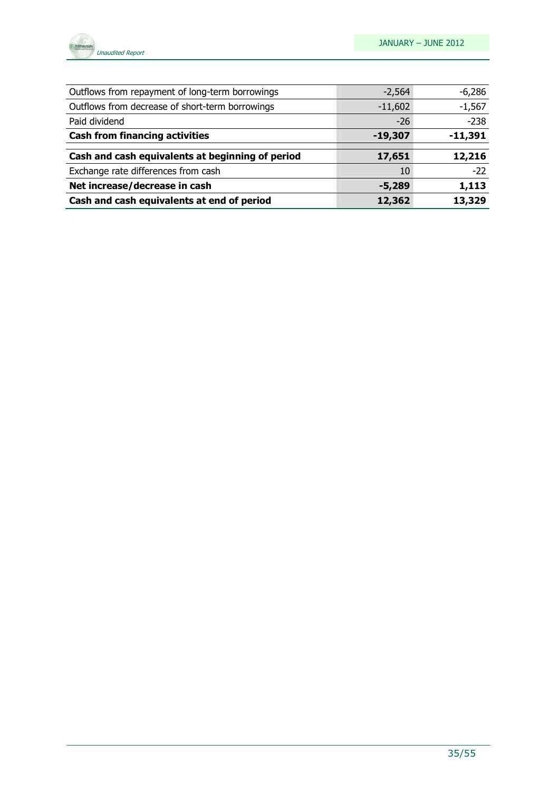

| Outflows from repayment of long-term borrowings  | $-2,564$  | $-6,286$  |
|--------------------------------------------------|-----------|-----------|
| Outflows from decrease of short-term borrowings  | $-11,602$ | $-1,567$  |
| Paid dividend                                    | $-26$     | $-238$    |
| <b>Cash from financing activities</b>            | $-19,307$ | $-11,391$ |
|                                                  |           |           |
| Cash and cash equivalents at beginning of period | 17,651    | 12,216    |
| Exchange rate differences from cash              | 10        | $-22$     |
| Net increase/decrease in cash                    | $-5,289$  | 1,113     |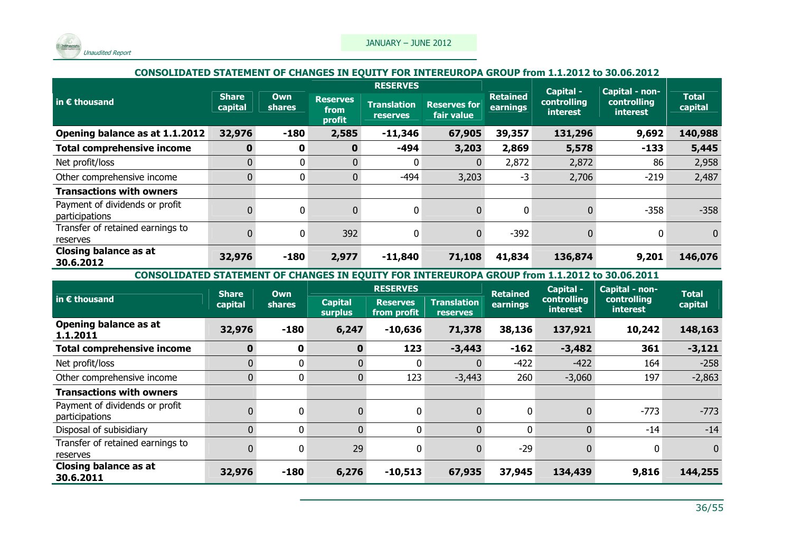

#### CONSOLIDATED STATEMENT OF CHANGES IN EQUITY FOR INTEREUROPA GROUP from 1.1.2012 to 30.06.2012

|                                                  |                         |                      | <b>RESERVES</b>                   |                                |                                   | Capital -   | Capital - non-  |                         |                                |                         |
|--------------------------------------------------|-------------------------|----------------------|-----------------------------------|--------------------------------|-----------------------------------|-------------|-----------------|-------------------------|--------------------------------|-------------------------|
| in $\epsilon$ thousand                           | <b>Share</b><br>capital | Own<br><b>shares</b> | <b>Reserves</b><br>from<br>profit | <b>Translation</b><br>reserves | <b>Reserves for</b><br>fair value | earnings    | <b>Retained</b> | controlling<br>interest | controlling<br><b>interest</b> | <b>Total</b><br>capital |
| Opening balance as at 1.1.2012                   | 32,976                  | $-180$               | 2,585                             | $-11,346$                      | 67,905                            | 39,357      | 131,296         | 9,692                   | 140,988                        |                         |
| <b>Total comprehensive income</b>                | $\mathbf{0}$            | $\mathbf 0$          | 0                                 | $-494$                         | 3,203                             | 2,869       | 5,578           | $-133$                  | 5,445                          |                         |
| Net profit/loss                                  | 0                       | $\mathbf{0}$         | $\Omega$                          | 0                              | $\overline{0}$                    | 2,872       | 2,872           | 86                      | 2,958                          |                         |
| Other comprehensive income                       | 0                       | $\mathbf{0}$         | $\mathbf{0}$                      | -494                           | 3,203                             | $-3$        | 2,706           | $-219$                  | 2,487                          |                         |
| <b>Transactions with owners</b>                  |                         |                      |                                   |                                |                                   |             |                 |                         |                                |                         |
| Payment of dividends or profit<br>participations |                         | $\mathbf{0}$         | $\mathbf{0}$                      | 0                              | $\overline{0}$                    | $\mathbf 0$ |                 | $-358$                  | $-358$                         |                         |
| Transfer of retained earnings to<br>reserves     |                         | $\mathbf{0}$         | 392                               | 0                              | $\Omega$                          | $-392$      |                 | $\Omega$                | $\mathbf{0}$                   |                         |
| <b>Closing balance as at</b><br>30.6.2012        | 32,976                  | $-180$               | 2,977                             | $-11,840$                      | 71,108                            | 41,834      | 136,874         | 9,201                   | 146,076                        |                         |

CONSOLIDATED STATEMENT OF CHANGES IN EQUITY FOR INTEREUROPA GROUP from 1.1.2012 to 30.06.2011

|                                                  | <b>Share</b>   | Own           |                                  | <b>RESERVES</b>                |                                | <b>Retained</b> | Capital -                      | Capital - non-                 | <b>Total</b> |
|--------------------------------------------------|----------------|---------------|----------------------------------|--------------------------------|--------------------------------|-----------------|--------------------------------|--------------------------------|--------------|
| $\vert$ in $\bm{\epsilon}$ thousand              | capital        | <b>shares</b> | <b>Capital</b><br><b>surplus</b> | <b>Reserves</b><br>from profit | Translation<br><b>reserves</b> | <b>earnings</b> | controlling<br><b>interest</b> | controlling<br><i>interest</i> | capital      |
| Opening balance as at<br>1.1.2011                | 32,976         | $-180$        | 6,247                            | $-10,636$                      | 71,378                         | 38,136          | 137,921                        | 10,242                         | 148,163      |
| <b>Total comprehensive income</b>                | $\mathbf{0}$   | 0             | $\mathbf 0$                      | 123                            | $-3,443$                       | $-162$          | $-3,482$                       | 361                            | $-3,121$     |
| Net profit/loss                                  | $\overline{0}$ | 0             | $\overline{0}$                   | 0                              |                                | $-422$          | $-422$                         | 164                            | $-258$       |
| Other comprehensive income                       | 0              | 0             | $\overline{0}$                   | 123                            | $-3,443$                       | 260             | $-3,060$                       | 197                            | $-2,863$     |
| <b>Transactions with owners</b>                  |                |               |                                  |                                |                                |                 |                                |                                |              |
| Payment of dividends or profit<br>participations |                | $\mathbf 0$   | $\mathbf{0}$                     | $\mathbf 0$                    | $\overline{0}$                 | $\mathbf 0$     |                                | $-773$                         | $-773$       |
| Disposal of subisidiary                          | 0              | $\mathbf 0$   | $\overline{0}$                   | $\mathbf{0}$                   | $\overline{0}$                 | $\mathbf 0$     | $\overline{0}$                 | $-14$                          | $-14$        |
| Transfer of retained earnings to<br>reserves     | 0              | $\Omega$      | 29                               | 0                              | $\overline{0}$                 | $-29$           |                                | 0                              | $\mathbf{0}$ |
| <b>Closing balance as at</b><br>30.6.2011        | 32,976         | $-180$        | 6,276                            | $-10,513$                      | 67,935                         | 37,945          | 134,439                        | 9,816                          | 144,255      |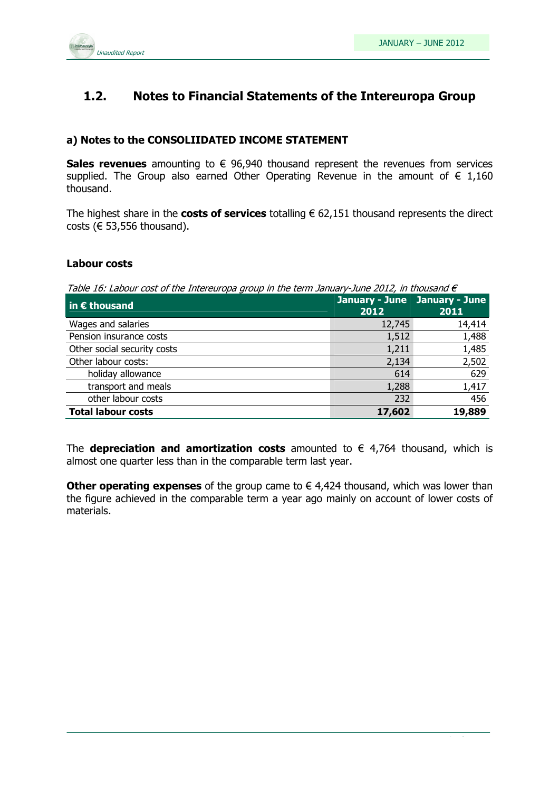

## 1.2. Notes to Financial Statements of the Intereuropa Group

#### a) Notes to the CONSOLIIDATED INCOME STATEMENT

Sales revenues amounting to  $\epsilon$  96,940 thousand represent the revenues from services supplied. The Group also earned Other Operating Revenue in the amount of  $\epsilon$  1,160 thousand.

The highest share in the costs of services totalling  $\epsilon$  62,151 thousand represents the direct costs ( $\epsilon$  53,556 thousand).

#### Labour costs

Table 16: Labour cost of the Intereuropa group in the term January-June 2012, in thousand  $\epsilon$ 

| $\vert$ in $\epsilon$ thousand | January - June January - June<br>2012 | 2011   |
|--------------------------------|---------------------------------------|--------|
| Wages and salaries             | 12,745                                | 14,414 |
| Pension insurance costs        | 1,512                                 | 1,488  |
| Other social security costs    | 1,211                                 | 1,485  |
| Other labour costs:            | 2,134                                 | 2,502  |
| holiday allowance              | 614                                   | 629    |
| transport and meals            | 1,288                                 | 1,417  |
| other labour costs             | 232                                   | 456    |
| <b>Total labour costs</b>      | 17,602                                | 19,889 |

The **depreciation and amortization costs** amounted to  $\epsilon$  4.764 thousand, which is almost one quarter less than in the comparable term last year.

Other operating expenses of the group came to  $\epsilon$  4,424 thousand, which was lower than the figure achieved in the comparable term a year ago mainly on account of lower costs of materials.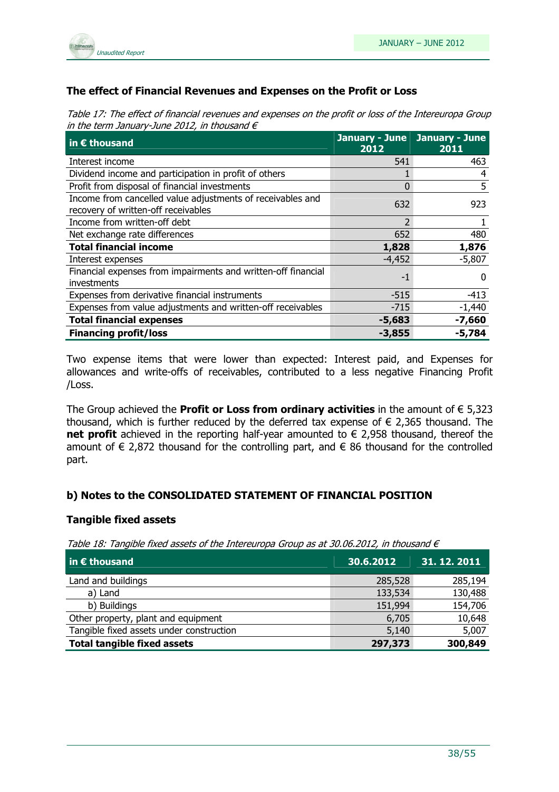

### The effect of Financial Revenues and Expenses on the Profit or Loss

Table 17: The effect of financial revenues and expenses on the profit or loss of the Intereuropa Group in the term January-June 2012, in thousand  $\epsilon$ 

| $\overline{\mathsf{in}}$ E thousand                                                               | January - June January - June<br>2012 | 2011     |
|---------------------------------------------------------------------------------------------------|---------------------------------------|----------|
| Interest income                                                                                   | 541                                   | 463      |
| Dividend income and participation in profit of others                                             |                                       | 4        |
| Profit from disposal of financial investments                                                     | 0                                     | 5        |
| Income from cancelled value adjustments of receivables and<br>recovery of written-off receivables | 632                                   | 923      |
| Income from written-off debt                                                                      | $\overline{2}$                        |          |
| Net exchange rate differences                                                                     | 652                                   | 480      |
| <b>Total financial income</b>                                                                     | 1,828                                 | 1,876    |
| Interest expenses                                                                                 | $-4,452$                              | $-5,807$ |
| Financial expenses from impairments and written-off financial<br>investments                      | -1                                    | O        |
| Expenses from derivative financial instruments                                                    | $-515$                                | $-413$   |
| Expenses from value adjustments and written-off receivables                                       | $-715$                                | $-1,440$ |
| <b>Total financial expenses</b>                                                                   | $-5,683$                              | $-7,660$ |
| <b>Financing profit/loss</b>                                                                      | $-3,855$                              | $-5,784$ |

Two expense items that were lower than expected: Interest paid, and Expenses for allowances and write-offs of receivables, contributed to a less negative Financing Profit /Loss.

The Group achieved the **Profit or Loss from ordinary activities** in the amount of  $\epsilon$  5,323 thousand, which is further reduced by the deferred tax expense of  $\epsilon$  2,365 thousand. The net profit achieved in the reporting half-year amounted to  $\epsilon$  2,958 thousand, thereof the amount of  $\epsilon$  2,872 thousand for the controlling part, and  $\epsilon$  86 thousand for the controlled part.

#### b) Notes to the CONSOLIDATED STATEMENT OF FINANCIAL POSITION

#### Tangible fixed assets

Table 18: Tangible fixed assets of the Intereuropa Group as at 30.06.2012, in thousand  $\epsilon$ 

| $\vert$ in $\epsilon$ thousand           | $\overline{.30.6.2012}$ | 31.12.2011 |
|------------------------------------------|-------------------------|------------|
| Land and buildings                       | 285,528                 | 285,194    |
| a) Land                                  | 133,534                 | 130,488    |
| b) Buildings                             | 151,994                 | 154,706    |
| Other property, plant and equipment      | 6,705                   | 10,648     |
| Tangible fixed assets under construction | 5,140                   | 5,007      |
| <b>Total tangible fixed assets</b>       | 297,373                 | 300,849    |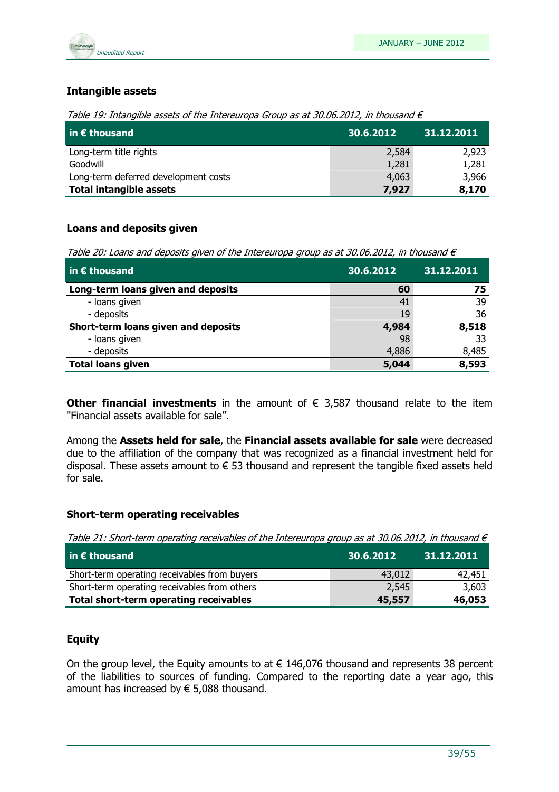

#### Intangible assets

Table 19: Intangible assets of the Intereuropa Group as at 30.06.2012, in thousand  $\epsilon$ 

| $\overline{\mathsf{in}\, \mathsf{\mathsf{E}}}$ thousand | 30.6.2012 | 31.12.2011 |
|---------------------------------------------------------|-----------|------------|
| Long-term title rights                                  | 2,584     | 2,923      |
| Goodwill                                                | 1,281     | 1,281      |
| Long-term deferred development costs                    | 4,063     | 3,966      |
| <b>Total intangible assets</b>                          | 7,927     | 8,170      |

#### Loans and deposits given

Table 20: Loans and deposits given of the Intereuropa group as at 30.06.2012, in thousand  $\epsilon$ 

| $\vert$ in $\epsilon$ thousand      | 30.6.2012 | 31.12.2011 |
|-------------------------------------|-----------|------------|
| Long-term loans given and deposits  | 60        | 75         |
| - loans given                       | 41        | 39         |
| - deposits                          | 19        | 36         |
| Short-term loans given and deposits | 4,984     | 8,518      |
| - loans given                       | 98        | 33         |
| - deposits                          | 4,886     | 8,485      |
| <b>Total loans given</b>            | 5,044     | 8,593      |

Other financial investments in the amount of  $\epsilon$  3,587 thousand relate to the item ''Financial assets available for sale''.

Among the Assets held for sale, the Financial assets available for sale were decreased due to the affiliation of the company that was recognized as a financial investment held for disposal. These assets amount to  $\epsilon$  53 thousand and represent the tangible fixed assets held for sale.

#### Short-term operating receivables

|  |  |  | Table 21: Short-term operating receivables of the Intereuropa group as at 30.06.2012, in thousand $\epsilon$ |
|--|--|--|--------------------------------------------------------------------------------------------------------------|
|--|--|--|--------------------------------------------------------------------------------------------------------------|

| $\mathsf I$ in $\bm{\epsilon}$ thousand       | 30.6.2012 | 31.12.2011 |
|-----------------------------------------------|-----------|------------|
| Short-term operating receivables from buyers  | 43,012    | 42,451     |
| Short-term operating receivables from others  | 2,545     | 3,603      |
| <b>Total short-term operating receivables</b> | 45,557    | 46,053     |

#### Equity

On the group level, the Equity amounts to at  $\epsilon$  146,076 thousand and represents 38 percent of the liabilities to sources of funding. Compared to the reporting date a year ago, this amount has increased by  $\epsilon$  5,088 thousand.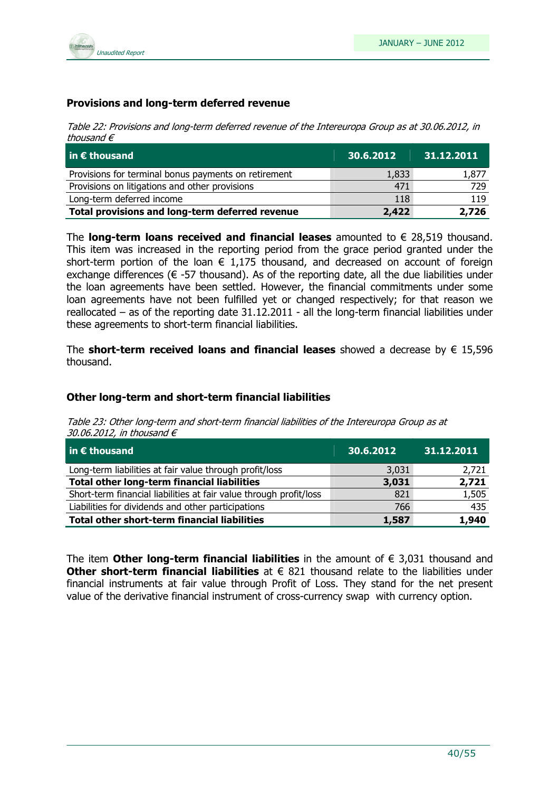

#### Provisions and long-term deferred revenue

Table 22: Provisions and long-term deferred revenue of the Intereuropa Group as at 30.06.2012, in thousand  $\epsilon$ 

| $\overline{\mathsf{in}}$ E thousand                  | 30.6.2012 | 31.12.2011 |
|------------------------------------------------------|-----------|------------|
| Provisions for terminal bonus payments on retirement | 1,833     | 1,877      |
| Provisions on litigations and other provisions       | 471       | 729        |
| Long-term deferred income                            | 118       | 119        |
| Total provisions and long-term deferred revenue      | 2,422     | 2,726      |

The **long-term loans received and financial leases** amounted to  $\epsilon$  28,519 thousand. This item was increased in the reporting period from the grace period granted under the short-term portion of the loan  $\epsilon$  1,175 thousand, and decreased on account of foreign exchange differences ( $\epsilon$  -57 thousand). As of the reporting date, all the due liabilities under the loan agreements have been settled. However, the financial commitments under some loan agreements have not been fulfilled yet or changed respectively; for that reason we reallocated – as of the reporting date 31.12.2011 - all the long-term financial liabilities under these agreements to short-term financial liabilities.

The short-term received loans and financial leases showed a decrease by  $\epsilon$  15,596 thousand.

#### Other long-term and short-term financial liabilities

Table 23: Other long-term and short-term financial liabilities of the Intereuropa Group as at 30.06.2012, in thousand  $\epsilon$ 

| $\vert$ in $\epsilon$ thousand                                     | 30.6.2012 | 31.12.2011 |
|--------------------------------------------------------------------|-----------|------------|
| Long-term liabilities at fair value through profit/loss            | 3,031     | 2,721      |
| <b>Total other long-term financial liabilities</b>                 | 3,031     | 2,721      |
| Short-term financial liabilities at fair value through profit/loss | 821       | 1,505      |
| Liabilities for dividends and other participations                 | 766       | 435        |
| <b>Total other short-term financial liabilities</b>                | 1,587     | 1,940      |

The item **Other long-term financial liabilities** in the amount of  $\epsilon$  3,031 thousand and Other short-term financial liabilities at  $\epsilon$  821 thousand relate to the liabilities under financial instruments at fair value through Profit of Loss. They stand for the net present value of the derivative financial instrument of cross-currency swap with currency option.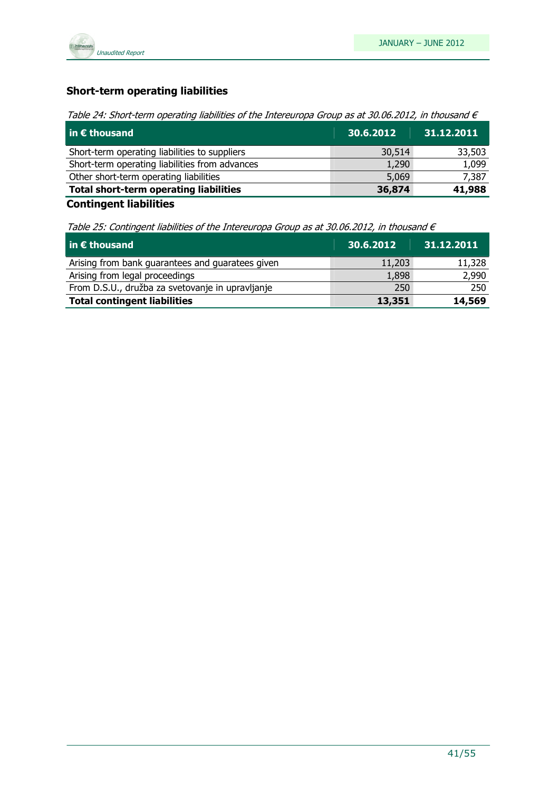

## Short-term operating liabilities

Table 24: Short-term operating liabilities of the Intereuropa Group as at 30.06.2012, in thousand  $\epsilon$ 

| $\vert$ in $\epsilon$ thousand                 | 30.6.2012 | 31.12.2011 |
|------------------------------------------------|-----------|------------|
| Short-term operating liabilities to suppliers  | 30,514    | 33,503     |
| Short-term operating liabilities from advances | 1,290     | 1,099      |
| Other short-term operating liabilities         | 5,069     | 7,387      |
| <b>Total short-term operating liabilities</b>  | 36,874    | 41,988     |
|                                                |           |            |

Contingent liabilities

Table 25: Contingent liabilities of the Intereuropa Group as at 30.06.2012, in thousand  $\epsilon$ 

| $\vert$ in $\epsilon$ thousand                   | 30.6.2012 | 31.12.2011 |
|--------------------------------------------------|-----------|------------|
| Arising from bank guarantees and guaratees given | 11,203    | 11,328     |
| Arising from legal proceedings                   | 1,898     | 2,990      |
| From D.S.U., družba za svetovanje in upravljanje | 250       | 250        |
| <b>Total contingent liabilities</b>              | 13,351    | 14,569     |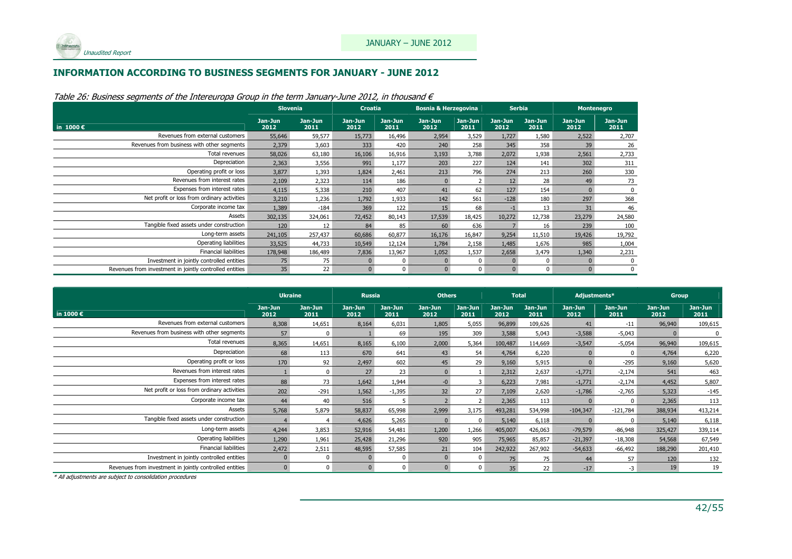

#### INFORMATION ACCORDING TO BUSINESS SEGMENTS FOR JANUARY - JUNE 2012

|                                                         | <b>Slovenia</b> |                 | <b>Croatia</b>  |                 |                 |                 | <b>Bosnia &amp; Herzegovina</b><br><b>Serbia</b> |                 |                 |                 |  |  | Montenegro |  |
|---------------------------------------------------------|-----------------|-----------------|-----------------|-----------------|-----------------|-----------------|--------------------------------------------------|-----------------|-----------------|-----------------|--|--|------------|--|
| in $1000 \in$                                           | Jan-Jun<br>2012 | Jan-Jun<br>2011 | Jan-Jun<br>2012 | Jan-Jun<br>2011 | Jan-Jun<br>2012 | Jan-Jun<br>2011 | Jan-Jun<br>2012                                  | Jan-Jun<br>2011 | Jan-Jun<br>2012 | Jan-Jun<br>2011 |  |  |            |  |
| Revenues from external customers                        | 55,646          | 59,577          | 15,773          | 16,496          | 2,954           | 3,529           | 1,727                                            | 1,580           | 2,522           | 2,707           |  |  |            |  |
| Revenues from business with other segments              | 2,379           | 3,603           | 333             | 420             | 240             | 258             | 345                                              | 358             | 39              | 26              |  |  |            |  |
| Total revenues                                          | 58,026          | 63,180          | 16,106          | 16,916          | 3,193           | 3,788           | 2,072                                            | 1,938           | 2,561           | 2,733           |  |  |            |  |
| Depreciation                                            | 2,363           | 3,556           | 991             | 1,177           | 203             | 227             | 124                                              | 141             | 302             | 311             |  |  |            |  |
| Operating profit or loss                                | 3,877           | 1,393           | 1,824           | 2,461           | 213             | 796             | 274                                              | 213             | 260             | 330             |  |  |            |  |
| Revenues from interest rates                            | 2,109           | 2,323           | 114             | 186             |                 |                 | 12 <sup>2</sup>                                  | 28              | 49              | 73              |  |  |            |  |
| Expenses from interest rates                            | 4,115           | 5,338           | 210             | 407             | 41              | 62              | 127                                              | 154             |                 |                 |  |  |            |  |
| Net profit or loss from ordinary activities             | 3,210           | 1,236           | 1,792           | 1,933           | 142             | 561             | $-128$                                           | 180             | 297             | 368             |  |  |            |  |
| Corporate income tax                                    | 1,389           | $-184$          | 369             | 122             | 15              | 68              | $-1$                                             | 13              | 31              | 46              |  |  |            |  |
| Assets                                                  | 302,135         | 324,061         | 72,452          | 80,143          | 17,539          | 18,425          | 10,272                                           | 12,738          | 23,279          | 24,580          |  |  |            |  |
| Tangible fixed assets under construction                | 120             | 12              | 84              | 85              | 60              | 636             |                                                  | 16              | 239             | 100             |  |  |            |  |
| Long-term assets                                        | 241,105         | 257,437         | 60,686          | 60,877          | 16,176          | 16,847          | 9,254                                            | 11,510          | 19,426          | 19,792          |  |  |            |  |
| Operating liabilities                                   | 33,525          | 44,733          | 10,549          | 12,124          | 1,784           | 2,158           | 1,485                                            | 1,676           | 985             | 1,004           |  |  |            |  |
| <b>Financial liabilities</b>                            | 178,948         | 186,489         | 7,836           | 13,967          | 1,052           | 1,537           | 2,658                                            | 3,479           | 1,340           | 2,231           |  |  |            |  |
| Investment in jointly controlled entities               | 75              | 75              |                 |                 |                 |                 |                                                  |                 |                 |                 |  |  |            |  |
| Revenues from investment in jointly controlled entities | 35              | 22              |                 |                 |                 |                 |                                                  |                 |                 |                 |  |  |            |  |

Table 26: Business segments of the Intereuropa Group in the term January-June 2012, in thousand  $\epsilon$ 

|                                                         | <b>Ukraine</b>  |                 | <b>Russia</b>   |                 | <b>Others</b>   |                 | <b>Total</b>    |                 | Adjustments*    |                 | <b>Group</b>    |                 |
|---------------------------------------------------------|-----------------|-----------------|-----------------|-----------------|-----------------|-----------------|-----------------|-----------------|-----------------|-----------------|-----------------|-----------------|
| in 1000 $\epsilon$                                      | Jan-Jun<br>2012 | Jan-Jun<br>2011 | Jan-Jun<br>2012 | Jan-Jun<br>2011 | Jan-Jun<br>2012 | Jan-Jun<br>2011 | Jan-Jun<br>2012 | Jan-Jun<br>2011 | Jan-Jun<br>2012 | Jan-Jun<br>2011 | Jan-Jun<br>2012 | Jan-Jun<br>2011 |
| Revenues from external customers                        | 8,308           | 14,651          | 8,164           | 6,031           | 1,805           | 5,055           | 96,899          | 109,626         | 41              | $-11$           | 96,940          | 109,615         |
| Revenues from business with other segments              | 57              | $\Omega$        |                 | 69              | 195             | 309             | 3,588           | 5,043           | $-3,588$        | $-5,043$        |                 |                 |
| Total revenues                                          | 8,365           | 14,651          | 8,165           | 6,100           | 2,000           | 5,364           | 100,487         | 114,669         | $-3,547$        | $-5,054$        | 96,940          | 109,615         |
| Depreciation                                            | 68              | 113             | 670             | 641             | 43              | 54              | 4,764           | 6,220           |                 | $\Omega$        | 4,764           | 6,220           |
| Operating profit or loss                                | 170             | 92              | 2,497           | 602             | 45              | 29              | 9,160           | 5,915           |                 | $-295$          | 9,160           | 5,620           |
| Revenues from interest rates                            |                 | $\Omega$        | 27              | 23              |                 |                 | 2,312           | 2,637           | $-1,771$        | $-2,174$        | 541             | 463             |
| Expenses from interest rates                            | 88              | 73              | 1,642           | 1,944           |                 |                 | 6,223           | 7,981           | $-1,771$        | $-2,174$        | 4,452           | 5,807           |
| Net profit or loss from ordinary activities             | 202             | $-291$          | 1,562           | $-1,395$        | 32              | 27              | 7,109           | 2,620           | $-1,786$        | $-2,765$        | 5,323           | $-145$          |
| Corporate income tax                                    | 44              | 40              | 516             |                 |                 |                 | 2,365           | 113             |                 | $\Omega$        | 2,365           | 113             |
| Assets                                                  | 5,768           | 5,879           | 58,837          | 65,998          | 2,999           | 3,175           | 493,281         | 534,998         | $-104,347$      | $-121,784$      | 388,934         | 413,214         |
| Tangible fixed assets under construction                |                 | $\overline{4}$  | 4,626           | 5,265           |                 | $\Omega$        | 5,140           | 6,118           |                 | $\Omega$        | 5,140           | 6,118           |
| Long-term assets                                        | 4,244           | 3,853           | 52,916          | 54,481          | 1,200           | 1,266           | 405,007         | 426,063         | $-79,579$       | $-86,948$       | 325,427         | 339,114         |
| Operating liabilities                                   | 1,290           | 1,961           | 25,428          | 21,296          | 920             | 905             | 75,965          | 85,857          | $-21,397$       | $-18,308$       | 54,568          | 67,549          |
| <b>Financial liabilities</b>                            | 2,472           | 2,511           | 48,595          | 57,585          | 21              | 104             | 242,922         | 267,902         | $-54,633$       | $-66,492$       | 188,290         | 201,410         |
| Investment in jointly controlled entities               |                 | $\Omega$        |                 |                 |                 |                 | 75              | 75              | 44              | 57              | 120             | 132             |
| Revenues from investment in jointly controlled entities |                 | $\Omega$        |                 |                 |                 |                 | 35 <sup>5</sup> | 22              | $-17$           | $-3$            | 19              | 19              |

\* All adjustments are subject to consolidation procedures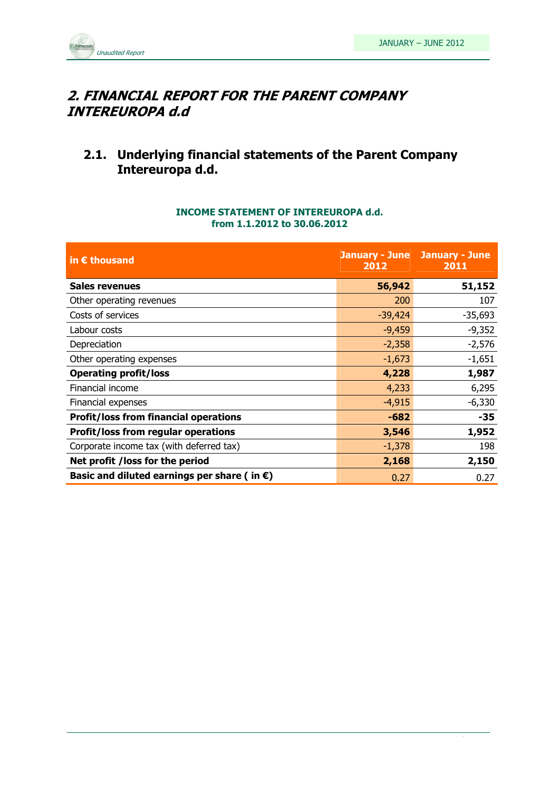

## 2. FINANCIAL REPORT FOR THE PARENT COMPANY INTEREUROPA d.d

## 2.1. Underlying financial statements of the Parent Company Intereuropa d.d.

#### INCOME STATEMENT OF INTEREUROPA d.d. from 1.1.2012 to 30.06.2012

| in € thousand                                         | 2012      | <b>January - June January - June</b><br>2011 |
|-------------------------------------------------------|-----------|----------------------------------------------|
| Sales revenues                                        | 56,942    | 51,152                                       |
| Other operating revenues                              | 200       | 107                                          |
| Costs of services                                     | $-39,424$ | $-35,693$                                    |
| Labour costs                                          | $-9,459$  | $-9,352$                                     |
| Depreciation                                          | $-2,358$  | $-2,576$                                     |
| Other operating expenses                              | $-1,673$  | $-1,651$                                     |
| <b>Operating profit/loss</b>                          | 4,228     | 1,987                                        |
| Financial income                                      | 4,233     | 6,295                                        |
| Financial expenses                                    | $-4,915$  | $-6,330$                                     |
| <b>Profit/loss from financial operations</b>          | $-682$    | $-35$                                        |
| <b>Profit/loss from regular operations</b>            | 3,546     | 1,952                                        |
| Corporate income tax (with deferred tax)              | $-1,378$  | 198                                          |
| Net profit /loss for the period                       | 2,168     | 2,150                                        |
| Basic and diluted earnings per share (in $\epsilon$ ) | 0.27      | 0.27                                         |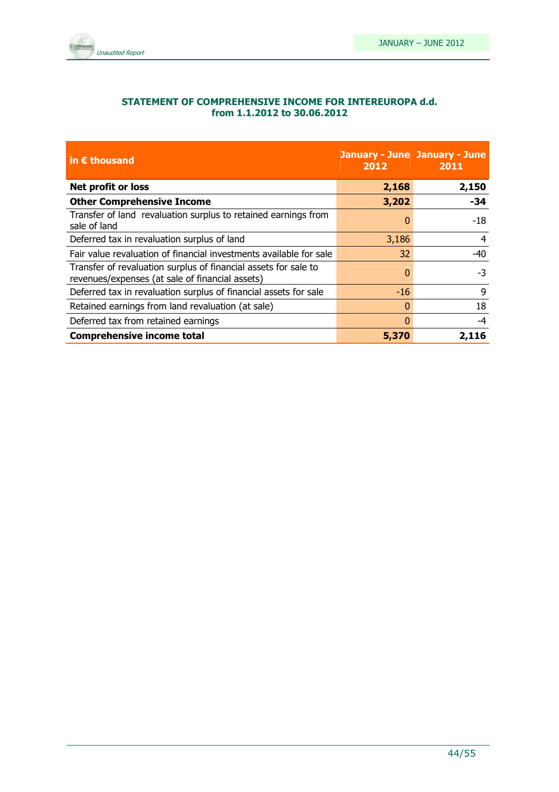

#### STATEMENT OF COMPREHENSIVE INCOME FOR INTEREUROPA d.d. from 1.1.2012 to 30.06.2012

| in $\epsilon$ thousand                                                                                             | 2012  | <b>January - June January - June</b><br>2011 |
|--------------------------------------------------------------------------------------------------------------------|-------|----------------------------------------------|
| Net profit or loss                                                                                                 | 2,168 | 2,150                                        |
| <b>Other Comprehensive Income</b>                                                                                  | 3,202 | $-34$                                        |
| Transfer of land revaluation surplus to retained earnings from<br>sale of land                                     | 0     | $-18$                                        |
| Deferred tax in revaluation surplus of land                                                                        | 3,186 | 4                                            |
| Fair value revaluation of financial investments available for sale                                                 | 32    | -40                                          |
| Transfer of revaluation surplus of financial assets for sale to<br>revenues/expenses (at sale of financial assets) | 0     | -3                                           |
| Deferred tax in revaluation surplus of financial assets for sale                                                   | $-16$ | 9                                            |
| Retained earnings from land revaluation (at sale)                                                                  | 0     | 18                                           |
| Deferred tax from retained earnings                                                                                | 0     | -4                                           |
| <b>Comprehensive income total</b>                                                                                  | 5,370 |                                              |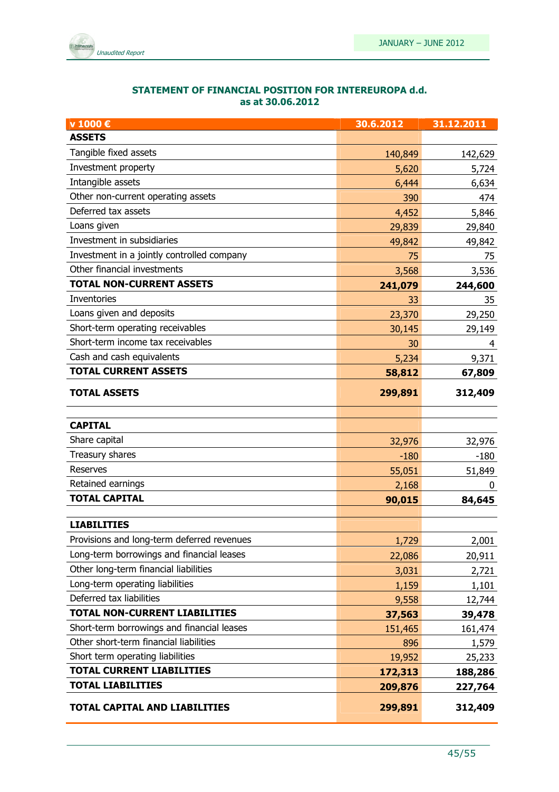

| STATEMENT OF FINANCIAL POSITION FOR INTEREUROPA d.d. |
|------------------------------------------------------|
| as at 30.06.2012                                     |

| v 1000 €                                   | 30.6.2012 | 31.12.2011 |
|--------------------------------------------|-----------|------------|
| <b>ASSETS</b>                              |           |            |
| Tangible fixed assets                      | 140,849   | 142,629    |
| Investment property                        | 5,620     | 5,724      |
| Intangible assets                          | 6,444     | 6,634      |
| Other non-current operating assets         | 390       | 474        |
| Deferred tax assets                        | 4,452     | 5,846      |
| Loans given                                | 29,839    | 29,840     |
| Investment in subsidiaries                 | 49,842    | 49,842     |
| Investment in a jointly controlled company | 75        | 75         |
| Other financial investments                | 3,568     | 3,536      |
| <b>TOTAL NON-CURRENT ASSETS</b>            | 241,079   | 244,600    |
| <b>Inventories</b>                         | 33        | 35         |
| Loans given and deposits                   | 23,370    | 29,250     |
| Short-term operating receivables           | 30,145    | 29,149     |
| Short-term income tax receivables          | 30        | 4          |
| Cash and cash equivalents                  | 5,234     | 9,371      |
| <b>TOTAL CURRENT ASSETS</b>                | 58,812    | 67,809     |
| <b>TOTAL ASSETS</b>                        | 299,891   | 312,409    |
| <b>CAPITAL</b>                             |           |            |
| Share capital                              | 32,976    | 32,976     |
| Treasury shares                            | $-180$    | $-180$     |
| Reserves                                   | 55,051    | 51,849     |
| Retained earnings                          | 2,168     | 0          |
| <b>TOTAL CAPITAL</b>                       | 90,015    | 84,645     |
| <b>LIABILITIES</b>                         |           |            |
| Provisions and long-term deferred revenues | 1,729     | 2,001      |
| Long-term borrowings and financial leases  | 22,086    | 20,911     |
| Other long-term financial liabilities      | 3,031     | 2,721      |
| Long-term operating liabilities            | 1,159     | 1,101      |
| Deferred tax liabilities                   | 9,558     | 12,744     |
| TOTAL NON-CURRENT LIABILITIES              | 37,563    | 39,478     |
| Short-term borrowings and financial leases | 151,465   | 161,474    |
| Other short-term financial liabilities     | 896       | 1,579      |
| Short term operating liabilities           | 19,952    | 25,233     |
| <b>TOTAL CURRENT LIABILITIES</b>           | 172,313   | 188,286    |
| <b>TOTAL LIABILITIES</b>                   | 209,876   | 227,764    |
| TOTAL CAPITAL AND LIABILITIES              | 299,891   | 312,409    |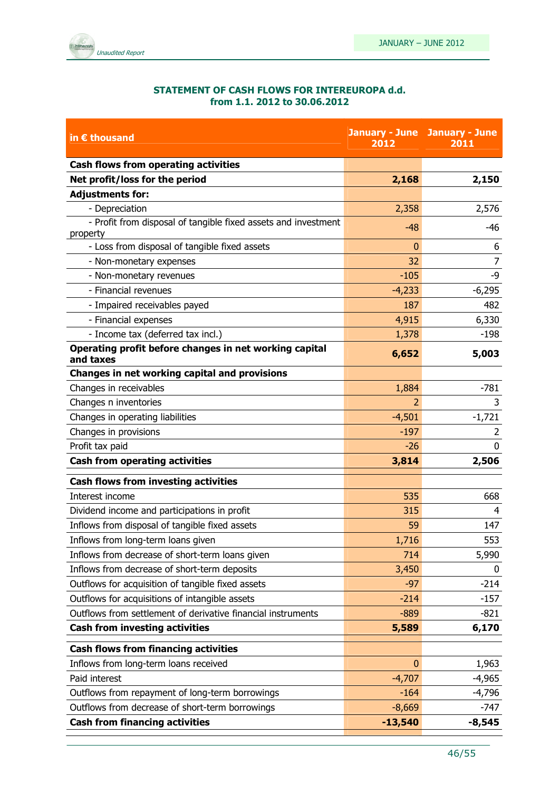

#### STATEMENT OF CASH FLOWS FOR INTEREUROPA d.d. from 1.1. 2012 to 30.06.2012

| in $\epsilon$ thousand                                                     | 2012         | <b>January - June January - June</b><br>2011 |
|----------------------------------------------------------------------------|--------------|----------------------------------------------|
| <b>Cash flows from operating activities</b>                                |              |                                              |
| Net profit/loss for the period                                             | 2,168        | 2,150                                        |
| <b>Adjustments for:</b>                                                    |              |                                              |
| - Depreciation                                                             | 2,358        | 2,576                                        |
| - Profit from disposal of tangible fixed assets and investment<br>property | $-48$        | -46                                          |
| - Loss from disposal of tangible fixed assets                              | $\Omega$     | 6                                            |
| - Non-monetary expenses                                                    | 32           | $\overline{7}$                               |
| - Non-monetary revenues                                                    | $-105$       | -9                                           |
| - Financial revenues                                                       | $-4,233$     | $-6,295$                                     |
| - Impaired receivables payed                                               | 187          | 482                                          |
| - Financial expenses                                                       | 4,915        | 6,330                                        |
| - Income tax (deferred tax incl.)                                          | 1,378        | $-198$                                       |
| Operating profit before changes in net working capital<br>and taxes        | 6,652        | 5,003                                        |
| Changes in net working capital and provisions                              |              |                                              |
| Changes in receivables                                                     | 1,884        | $-781$                                       |
| Changes n inventories                                                      | 2            | 3                                            |
| Changes in operating liabilities                                           | $-4,501$     | $-1,721$                                     |
| Changes in provisions                                                      | $-197$       | 2                                            |
| Profit tax paid                                                            | $-26$        | $\mathbf{0}$                                 |
| <b>Cash from operating activities</b>                                      | 3,814        | 2,506                                        |
| <b>Cash flows from investing activities</b>                                |              |                                              |
| Interest income                                                            | 535          | 668                                          |
| Dividend income and participations in profit                               | 315          | 4                                            |
| Inflows from disposal of tangible fixed assets                             | 59           | 147                                          |
| Inflows from long-term loans given                                         | 1,716        | 553                                          |
| Inflows from decrease of short-term loans given                            | 714          | 5,990                                        |
| Inflows from decrease of short-term deposits                               | 3,450        | 0                                            |
| Outflows for acquisition of tangible fixed assets                          | $-97$        | $-214$                                       |
| Outflows for acquisitions of intangible assets                             | $-214$       | $-157$                                       |
| Outflows from settlement of derivative financial instruments               | $-889$       | $-821$                                       |
| <b>Cash from investing activities</b>                                      | 5,589        | 6,170                                        |
| <b>Cash flows from financing activities</b>                                |              |                                              |
| Inflows from long-term loans received                                      | $\mathbf{0}$ | 1,963                                        |
| Paid interest                                                              | $-4,707$     | $-4,965$                                     |
| Outflows from repayment of long-term borrowings                            | $-164$       | $-4,796$                                     |
| Outflows from decrease of short-term borrowings                            | $-8,669$     | $-747$                                       |
| <b>Cash from financing activities</b>                                      | $-13,540$    | $-8,545$                                     |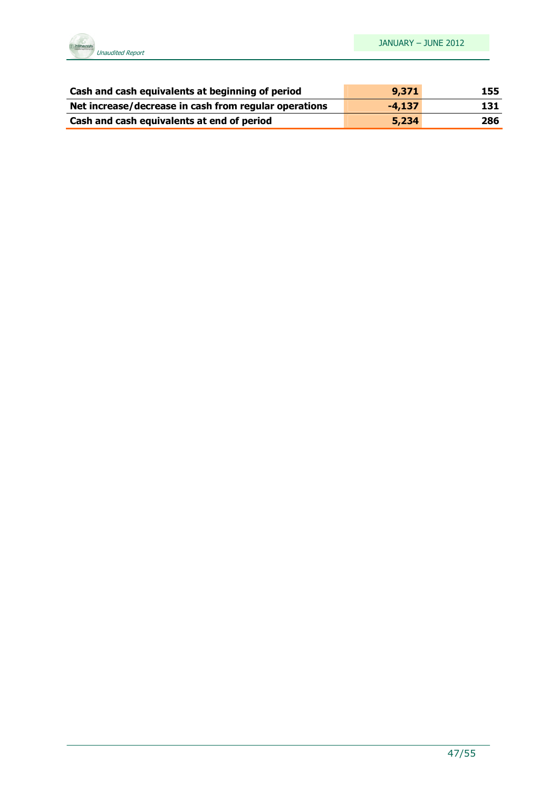

| Cash and cash equivalents at beginning of period      | 9,371    | 155 |
|-------------------------------------------------------|----------|-----|
| Net increase/decrease in cash from regular operations | $-4.137$ | 131 |
| Cash and cash equivalents at end of period            | 5,234    | 286 |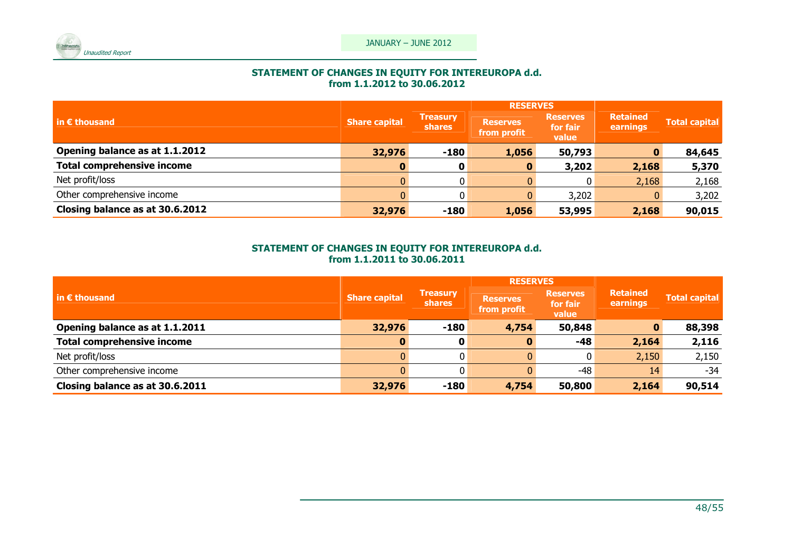

## STATEMENT OF CHANGES IN EQUITY FOR INTEREUROPA d.d. from 1.1.2012 to 30.06.2012

|                                   | <b>RESERVES</b>      |                                  |                                |                                      |                             |               |
|-----------------------------------|----------------------|----------------------------------|--------------------------------|--------------------------------------|-----------------------------|---------------|
| $\vert$ in $\epsilon$ thousand    | <b>Share capital</b> | <b>Treasury</b><br><b>shares</b> | <b>Reserves</b><br>from profit | <b>Reserves</b><br>for fair<br>value | <b>Retained</b><br>earnings | Total capital |
| Opening balance as at 1.1.2012    | 32,976               | $-180$                           | 1,056                          | 50,793                               |                             | 84,645        |
| <b>Total comprehensive income</b> |                      | 0                                |                                | 3,202                                | 2,168                       | 5,370         |
| Net profit/loss                   |                      |                                  |                                | 0                                    | 2,168                       | 2,168         |
| Other comprehensive income        |                      |                                  |                                | 3,202                                |                             | 3,202         |
| Closing balance as at 30.6.2012   | 32,976               | $-180$                           | 1,056                          | 53,995                               | 2,168                       | 90,015        |

## STATEMENT OF CHANGES IN EQUITY FOR INTEREUROPA d.d. from 1.1.2011 to 30.06.2011

|                                                  |                      |                                  | <b>RESERVES</b>                |                                      |                             |                      |
|--------------------------------------------------|----------------------|----------------------------------|--------------------------------|--------------------------------------|-----------------------------|----------------------|
| $\mathsf{I}$ in $\boldsymbol{\epsilon}$ thousand | <b>Share capital</b> | <b>Treasury</b><br><b>shares</b> | <b>Reserves</b><br>from profit | <b>Reserves</b><br>for fair<br>value | <b>Retained</b><br>earnings | <b>Total capital</b> |
| Opening balance as at 1.1.2011                   | 32,976               | $-180$                           | 4,754                          | 50,848                               |                             | 88,398               |
| <b>Total comprehensive income</b>                | 0                    | 0                                |                                | -48                                  | 2,164                       | 2,116                |
| Net profit/loss                                  |                      |                                  |                                |                                      | 2,150                       | 2,150                |
| Other comprehensive income                       |                      |                                  |                                | -48                                  | 14                          | -34                  |
| Closing balance as at 30.6.2011                  | 32,976               | $-180$                           | 4,754                          | 50,800                               | 2,164                       | 90,514               |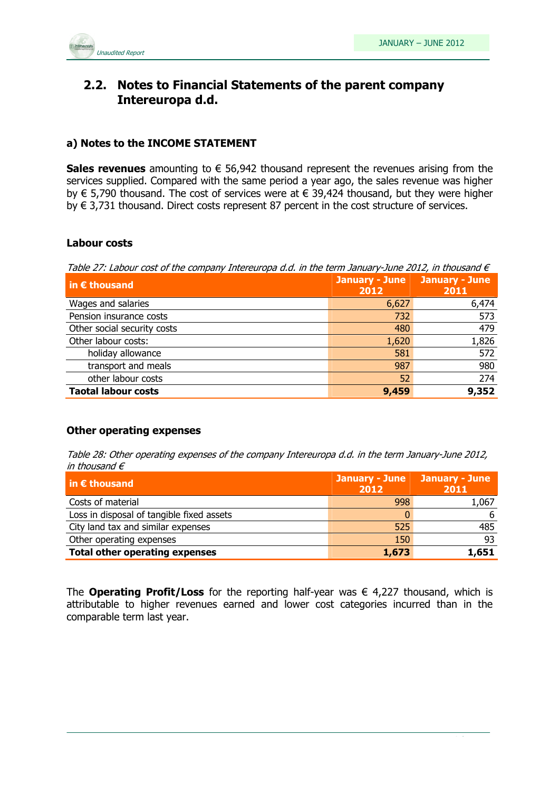

## 2.2. Notes to Financial Statements of the parent company Intereuropa d.d.

#### a) Notes to the INCOME STATEMENT

Sales revenues amounting to  $\epsilon$  56,942 thousand represent the revenues arising from the services supplied. Compared with the same period a year ago, the sales revenue was higher by € 5,790 thousand. The cost of services were at € 39,424 thousand, but they were higher by € 3,731 thousand. Direct costs represent 87 percent in the cost structure of services.

#### Labour costs

Table 27: Labour cost of the company Intereuropa d.d. in the term January-June 2012, in thousand  $\epsilon$ 

| in $\epsilon$ thousand      | <b>January - June</b><br>2012 | <b>January - June</b><br>2011 |
|-----------------------------|-------------------------------|-------------------------------|
| Wages and salaries          | 6,627                         | 6,474                         |
| Pension insurance costs     | 732                           | 573                           |
| Other social security costs | 480                           | 479                           |
| Other labour costs:         | 1,620                         | 1,826                         |
| holiday allowance           | 581                           | 572                           |
| transport and meals         | 987                           | 980                           |
| other labour costs          | 52                            | 274                           |
| <b>Taotal labour costs</b>  | 9,459                         | 9,352                         |

#### Other operating expenses

Table 28: Other operating expenses of the company Intereuropa d.d. in the term January-June 2012, in thousand  $\epsilon$ 

| $\vert$ in $\epsilon$ thousand            | January - June January - June<br>2012 | 2011  |
|-------------------------------------------|---------------------------------------|-------|
| Costs of material                         | 998                                   | 1,067 |
| Loss in disposal of tangible fixed assets |                                       | 6     |
| City land tax and similar expenses        | 525                                   | 485   |
| Other operating expenses                  | 150                                   | 93    |
| <b>Total other operating expenses</b>     | 1,673                                 | 1,651 |

The **Operating Profit/Loss** for the reporting half-year was  $\epsilon$  4,227 thousand, which is attributable to higher revenues earned and lower cost categories incurred than in the comparable term last year.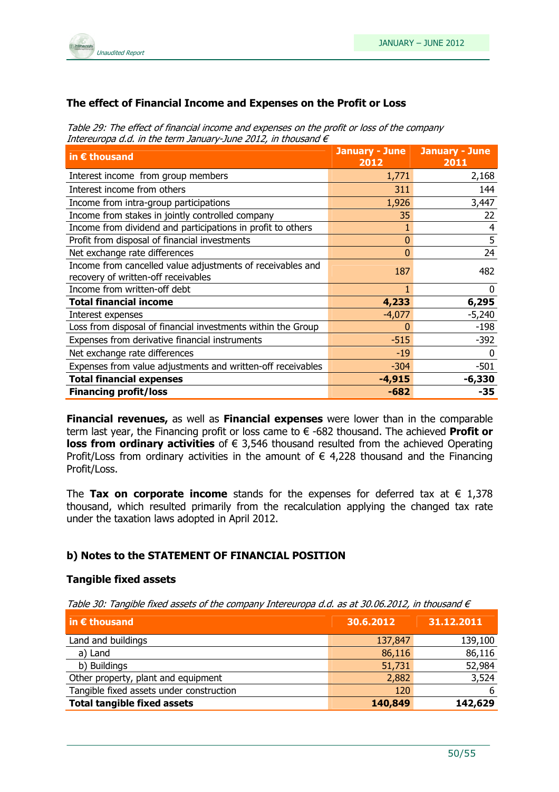

#### The effect of Financial Income and Expenses on the Profit or Loss

Table 29: The effect of financial income and expenses on the profit or loss of the company Intereuropa d.d. in the term January-June 2012, in thousand  $\epsilon$ 

| in $\epsilon$ thousand                                                                            | <b>January - June January - June</b><br>2012 | 2011     |
|---------------------------------------------------------------------------------------------------|----------------------------------------------|----------|
| Interest income from group members                                                                | 1,771                                        | 2,168    |
| Interest income from others                                                                       | 311                                          | 144      |
| Income from intra-group participations                                                            | 1,926                                        | 3,447    |
| Income from stakes in jointly controlled company                                                  | 35                                           | 22       |
| Income from dividend and participations in profit to others                                       |                                              | 4        |
| Profit from disposal of financial investments                                                     | 0                                            | 5        |
| Net exchange rate differences                                                                     | 0                                            | 24       |
| Income from cancelled value adjustments of receivables and<br>recovery of written-off receivables | 187                                          | 482      |
| Income from written-off debt                                                                      |                                              | $\Omega$ |
| <b>Total financial income</b>                                                                     | 4,233                                        | 6,295    |
| Interest expenses                                                                                 | $-4,077$                                     | $-5,240$ |
| Loss from disposal of financial investments within the Group                                      | 0                                            | $-198$   |
| Expenses from derivative financial instruments                                                    | $-515$                                       | $-392$   |
| Net exchange rate differences                                                                     | $-19$                                        | 0        |
| Expenses from value adjustments and written-off receivables                                       | $-304$                                       | $-501$   |
| <b>Total financial expenses</b>                                                                   | $-4,915$                                     | $-6,330$ |
| <b>Financing profit/loss</b>                                                                      | $-682$                                       | -35      |

**Financial revenues, as well as Financial expenses** were lower than in the comparable term last year, the Financing profit or loss came to  $\epsilon$  -682 thousand. The achieved **Profit or loss from ordinary activities** of  $\epsilon$  3,546 thousand resulted from the achieved Operating Profit/Loss from ordinary activities in the amount of  $\epsilon$  4,228 thousand and the Financing Profit/Loss.

The Tax on corporate income stands for the expenses for deferred tax at  $\epsilon$  1,378 thousand, which resulted primarily from the recalculation applying the changed tax rate under the taxation laws adopted in April 2012.

#### b) Notes to the STATEMENT OF FINANCIAL POSITION

#### Tangible fixed assets

Table 30: Tangible fixed assets of the company Intereuropa d.d. as at 30.06.2012, in thousand  $\epsilon$ 

| $\vert$ in $\epsilon$ thousand           | 30.6.2012 | 31.12.2011 |
|------------------------------------------|-----------|------------|
| Land and buildings                       | 137,847   | 139,100    |
| a) Land                                  | 86,116    | 86,116     |
| b) Buildings                             | 51,731    | 52,984     |
| Other property, plant and equipment      | 2,882     | 3,524      |
| Tangible fixed assets under construction | 120       | 6          |
| <b>Total tangible fixed assets</b>       | 140,849   | 142,629    |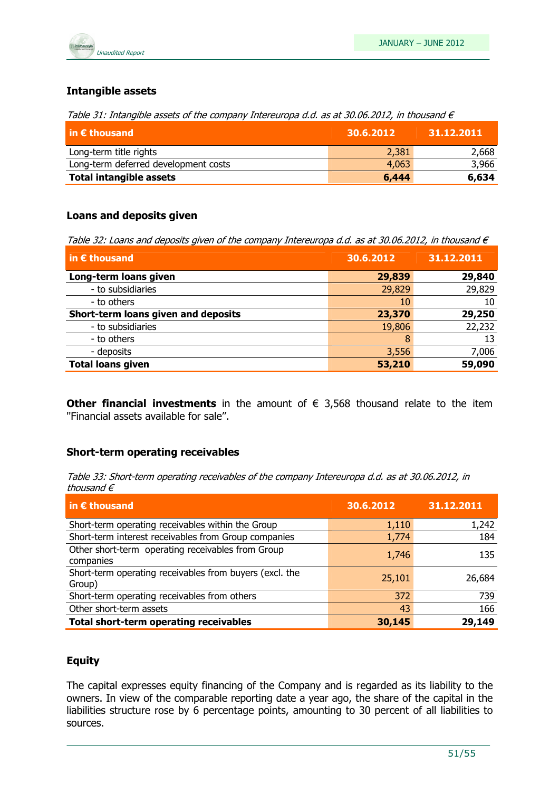

#### Intangible assets

Table 31: Intangible assets of the company Intereuropa d.d. as at 30.06.2012, in thousand  $\epsilon$ 

| $\mathsf{in} \, \boldsymbol{\epsilon}$ thousand | 30.6.2012 | 31.12.2011 |
|-------------------------------------------------|-----------|------------|
| Long-term title rights                          | 2,381     | 2,668      |
| Long-term deferred development costs            | 4,063     | 3,966      |
| <b>Total intangible assets</b>                  | 6,444     | 6,634      |

#### Loans and deposits given

Table 32: Loans and deposits given of the company Intereuropa d.d. as at 30.06.2012, in thousand  $\epsilon$ 

| in $\epsilon$ thousand              | 30.6.2012 | 31.12.2011 |  |
|-------------------------------------|-----------|------------|--|
| Long-term loans given               | 29,839    | 29,840     |  |
| - to subsidiaries                   | 29,829    | 29,829     |  |
| - to others                         | 10        | 10         |  |
| Short-term loans given and deposits | 23,370    | 29,250     |  |
| - to subsidiaries                   | 19,806    | 22,232     |  |
| - to others                         | 8         | 13         |  |
| - deposits                          | 3,556     | 7,006      |  |
| <b>Total loans given</b>            | 53,210    | 59,090     |  |

Other financial investments in the amount of  $\epsilon$  3,568 thousand relate to the item ''Financial assets available for sale''.

#### Short-term operating receivables

Table 33: Short-term operating receivables of the company Intereuropa d.d. as at 30.06.2012, in thousand  $\epsilon$ 

| in $\epsilon$ thousand                                            | 30.6.2012 | 31.12.2011 |
|-------------------------------------------------------------------|-----------|------------|
| Short-term operating receivables within the Group                 | 1,110     | 1,242      |
| Short-term interest receivables from Group companies              | 1,774     | 184        |
| Other short-term operating receivables from Group<br>companies    | 1,746     | 135        |
| Short-term operating receivables from buyers (excl. the<br>Group) | 25,101    | 26,684     |
| Short-term operating receivables from others                      | 372       | 739        |
| Other short-term assets                                           | 43        | 166        |
| Total short-term operating receivables                            | 30,145    | 29,149     |

#### Equity

The capital expresses equity financing of the Company and is regarded as its liability to the owners. In view of the comparable reporting date a year ago, the share of the capital in the liabilities structure rose by 6 percentage points, amounting to 30 percent of all liabilities to sources.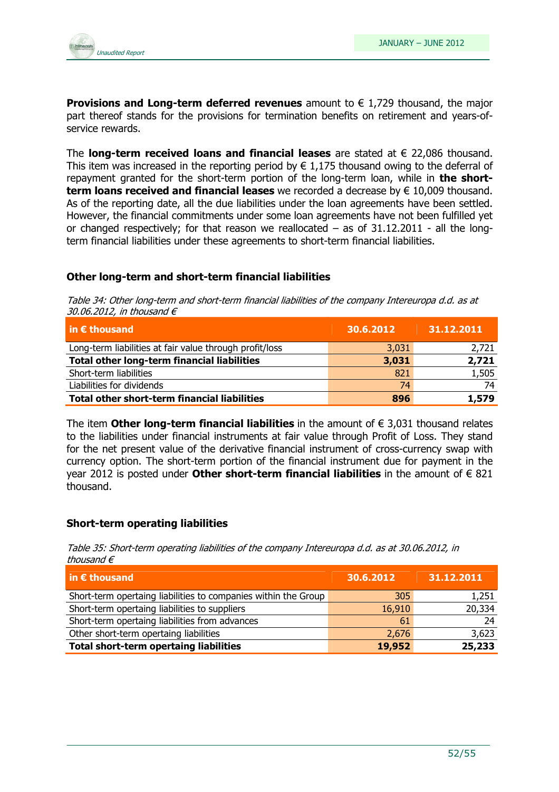

**Provisions and Long-term deferred revenues** amount to  $\in$  1,729 thousand, the major part thereof stands for the provisions for termination benefits on retirement and years-ofservice rewards.

The **long-term received loans and financial leases** are stated at  $\epsilon$  22,086 thousand. This item was increased in the reporting period by  $\in 1.175$  thousand owing to the deferral of repayment granted for the short-term portion of the long-term loan, while in the shortterm loans received and financial leases we recorded a decrease by  $\in$  10,009 thousand. As of the reporting date, all the due liabilities under the loan agreements have been settled. However, the financial commitments under some loan agreements have not been fulfilled yet or changed respectively; for that reason we reallocated  $-$  as of 31.12.2011 - all the longterm financial liabilities under these agreements to short-term financial liabilities.

#### Other long-term and short-term financial liabilities

Table 34: Other long-term and short-term financial liabilities of the company Intereuropa d.d. as at 30.06.2012, in thousand  $\epsilon$ 

| $\vert$ in $\bm{\epsilon}$ thousand                     | 30.6.2012 | 31.12.2011 |
|---------------------------------------------------------|-----------|------------|
| Long-term liabilities at fair value through profit/loss | 3,031     | 2,721      |
| Total other long-term financial liabilities             | 3,031     | 2,721      |
| Short-term liabilities                                  | 821       | 1,505      |
| Liabilities for dividends                               | 74        | 74         |
| Total other short-term financial liabilities            | 896       | 1,579      |

The item Other long-term financial liabilities in the amount of  $\epsilon$  3.031 thousand relates to the liabilities under financial instruments at fair value through Profit of Loss. They stand for the net present value of the derivative financial instrument of cross-currency swap with currency option. The short-term portion of the financial instrument due for payment in the year 2012 is posted under **Other short-term financial liabilities** in the amount of  $\epsilon$  821 thousand.

#### Short-term operating liabilities

Table 35: Short-term operating liabilities of the company Intereuropa d.d. as at 30.06.2012, in thousand €

| $\vert$ in $\epsilon$ thousand                                 | 30.6.2012 | 31.12.2011 |
|----------------------------------------------------------------|-----------|------------|
| Short-term opertaing liabilities to companies within the Group | 305       | 1,251      |
| Short-term opertaing liabilities to suppliers                  | 16,910    | 20,334     |
| Short-term opertaing liabilities from advances                 | 61        | 24         |
| Other short-term opertaing liabilities                         | 2,676     | 3,623      |
| <b>Total short-term opertaing liabilities</b>                  | 19,952    | 25,233     |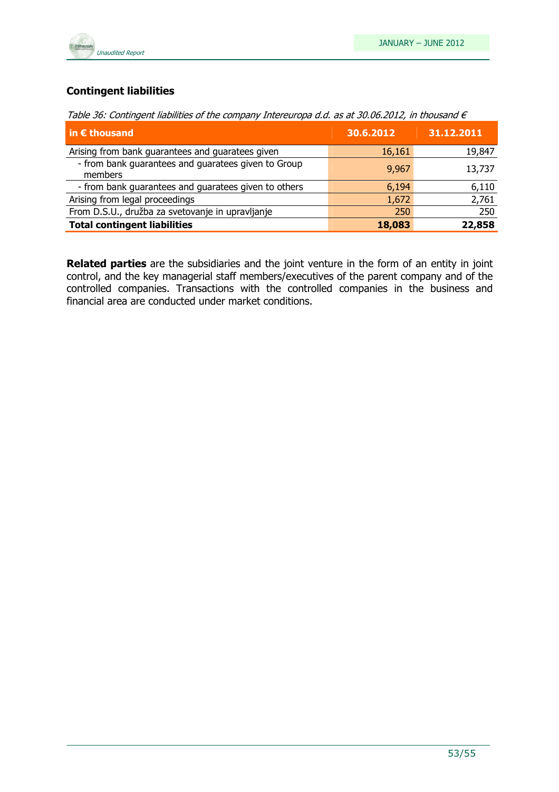

### Contingent liabilities

| in $\epsilon$ thousand                                         | 30.6.2012 | 31.12.2011 |
|----------------------------------------------------------------|-----------|------------|
| Arising from bank guarantees and guaratees given               | 16,161    | 19,847     |
| - from bank guarantees and guaratees given to Group<br>members | 9,967     | 13,737     |
| - from bank guarantees and guaratees given to others           | 6,194     | 6,110      |
| Arising from legal proceedings                                 | 1,672     | 2,761      |
| From D.S.U., družba za svetovanje in upravljanje               | 250       | 250        |
| <b>Total contingent liabilities</b>                            | 18,083    | 22,858     |

Related parties are the subsidiaries and the joint venture in the form of an entity in joint control, and the key managerial staff members/executives of the parent company and of the controlled companies. Transactions with the controlled companies in the business and financial area are conducted under market conditions.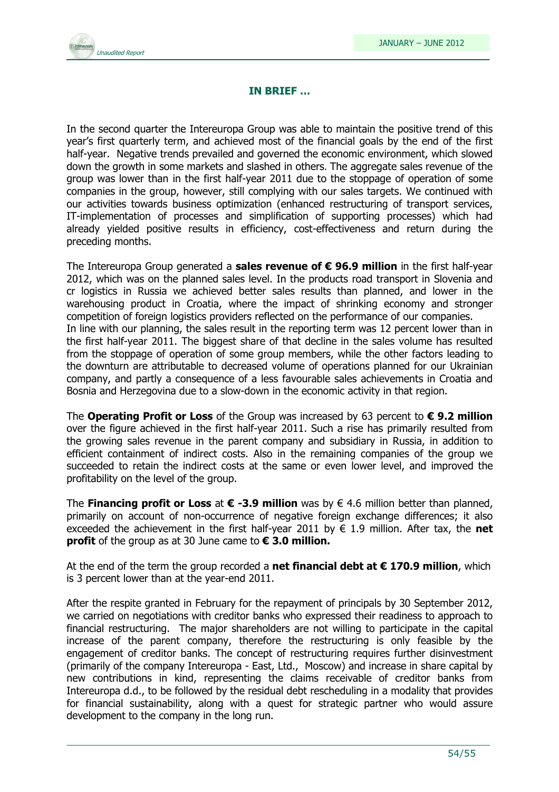

#### IN BRIEF …

In the second quarter the Intereuropa Group was able to maintain the positive trend of this year's first quarterly term, and achieved most of the financial goals by the end of the first half-year. Negative trends prevailed and governed the economic environment, which slowed down the growth in some markets and slashed in others. The aggregate sales revenue of the group was lower than in the first half-year 2011 due to the stoppage of operation of some companies in the group, however, still complying with our sales targets. We continued with our activities towards business optimization (enhanced restructuring of transport services, IT-implementation of processes and simplification of supporting processes) which had already yielded positive results in efficiency, cost-effectiveness and return during the preceding months.

The Intereuropa Group generated a **sales revenue of**  $\epsilon$  **96.9 million** in the first half-year 2012, which was on the planned sales level. In the products road transport in Slovenia and cr logistics in Russia we achieved better sales results than planned, and lower in the warehousing product in Croatia, where the impact of shrinking economy and stronger competition of foreign logistics providers reflected on the performance of our companies. In line with our planning, the sales result in the reporting term was 12 percent lower than in the first half-year 2011. The biggest share of that decline in the sales volume has resulted from the stoppage of operation of some group members, while the other factors leading to the downturn are attributable to decreased volume of operations planned for our Ukrainian company, and partly a consequence of a less favourable sales achievements in Croatia and Bosnia and Herzegovina due to a slow-down in the economic activity in that region.

The Operating Profit or Loss of the Group was increased by 63 percent to  $\epsilon$  9.2 million over the figure achieved in the first half-year 2011. Such a rise has primarily resulted from the growing sales revenue in the parent company and subsidiary in Russia, in addition to efficient containment of indirect costs. Also in the remaining companies of the group we succeeded to retain the indirect costs at the same or even lower level, and improved the profitability on the level of the group.

The **Financing profit or Loss** at  $\epsilon$  -3.9 million was by  $\epsilon$  4.6 million better than planned, primarily on account of non-occurrence of negative foreign exchange differences; it also exceeded the achievement in the first half-year 2011 by  $\epsilon$  1.9 million. After tax, the net **profit** of the group as at 30 June came to  $\epsilon$  3.0 million.

At the end of the term the group recorded a net financial debt at  $\epsilon$  170.9 million, which is 3 percent lower than at the year-end 2011.

After the respite granted in February for the repayment of principals by 30 September 2012, we carried on negotiations with creditor banks who expressed their readiness to approach to financial restructuring. The major shareholders are not willing to participate in the capital increase of the parent company, therefore the restructuring is only feasible by the engagement of creditor banks. The concept of restructuring requires further disinvestment (primarily of the company Intereuropa - East, Ltd., Moscow) and increase in share capital by new contributions in kind, representing the claims receivable of creditor banks from Intereuropa d.d., to be followed by the residual debt rescheduling in a modality that provides for financial sustainability, along with a quest for strategic partner who would assure development to the company in the long run.